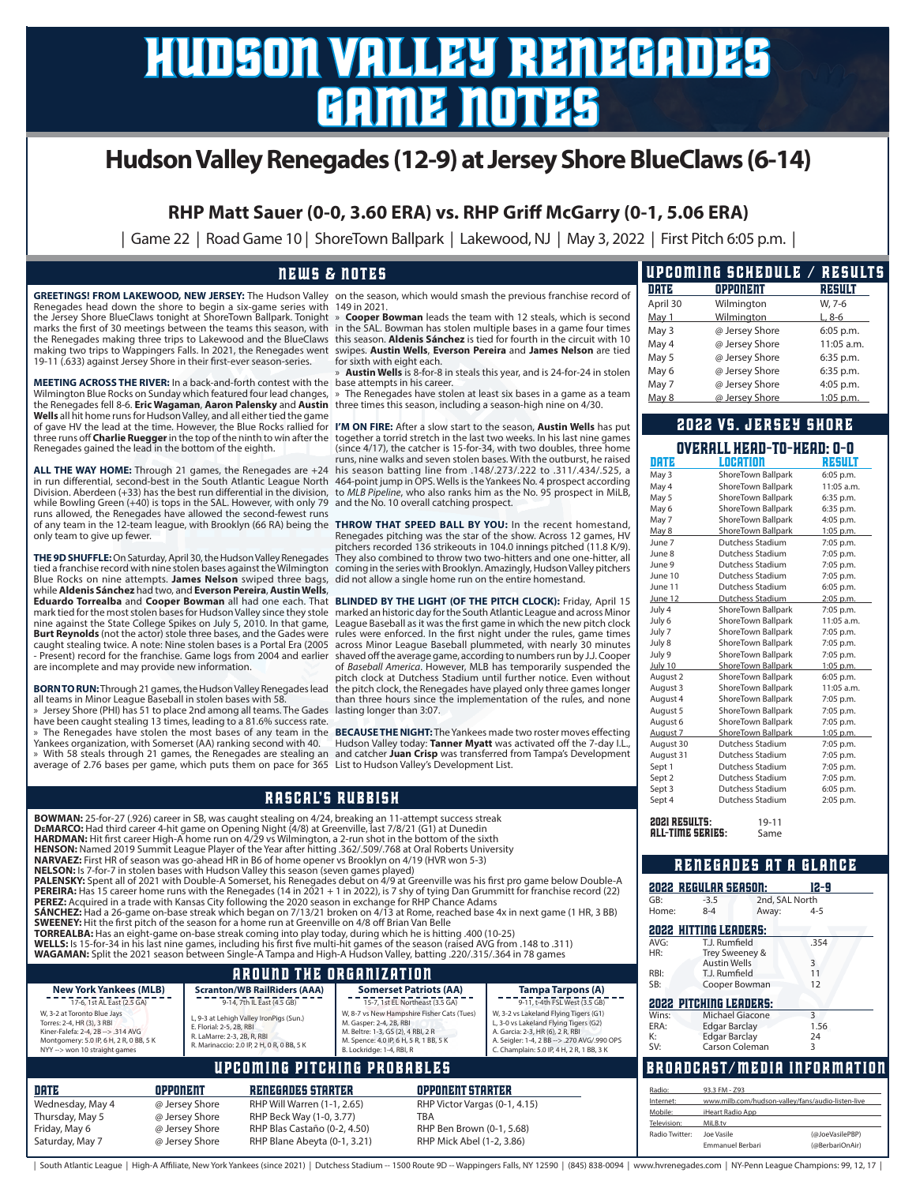# hudson valley renegades game notes

### **Hudson Valley Renegades (12-9) at Jersey Shore BlueClaws (6-14)**

**RHP Matt Sauer (0-0, 3.60 ERA) vs. RHP Griff McGarry (0-1, 5.06 ERA)**

| Game 22 | Road Game 10 | ShoreTown Ballpark | Lakewood, NJ | May 3, 2022 | First Pitch 6:05 p.m. |

#### news & notes

GREETINGS! FROM LAKEWOOD, NEW JERSEY: The Hudson Valley on the season, which would smash the previous franchise record of Renegades head down the shore to begin a six-game series with 149 in 2021. the Jersey Shore BlueClaws tonight at ShoreTown Ballpark. Tonight marks the first of 30 meetings between the teams this season, with in the SAL. Bowman has stolen multiple bases in a game four times the Renegades making three trips to Lakewood and the BlueClaws making two trips to Wappingers Falls. In 2021, the Renegades went 19-11 (.633) against Jersey Shore in their first-ever season-series.

**MEETING ACROSS THE RIVER:** In a back-and-forth contest with the base attempts in his career. Wilmington Blue Rocks on Sunday which featured four lead changes, the Renegades fell 8-6. **Eric Wagaman**, **Aaron Palensky** and **Austin**  three times this season, including a season-high nine on 4/30. **Wells** all hit home runs for Hudson Valley, and all either tied the game of gave HV the lead at the time. However, the Blue Rocks rallied for **I'M ON FIRE:** After a slow start to the season, **Austin Wells** has put three runs off **Charlie Ruegger** in the top of the ninth to win after the Renegades gained the lead in the bottom of the eighth.

**ALL THE WAY HOME:** Through 21 games, the Renegades are +24 in run differential, second-best in the South Atlantic League North Division. Aberdeen (+33) has the best run differential in the division, to *MLB Pipeline*, who also ranks him as the No. 95 prospect in MiLB, while Bowling Green (+40) is tops in the SAL. However, with only 79 and the No. 10 overall catching prospect. runs allowed, the Renegades have allowed the second-fewest runs of any team in the 12-team league, with Brooklyn (66 RA) being the only team to give up fewer.

Blue Rocks on nine attempts. **James Nelson** swiped three bags, did not allow a single home run on the entire homestand. while **Aldenis Sánchez** had two, and **Everson Pereira**, **Austin Wells**, nine against the State College Spikes on July 5, 2010. In that game, **Burt Reynolds** (not the actor) stole three bases, and the Gades were caught stealing twice. A note: Nine stolen bases is a Portal Era (2005 - Present) record for the franchise. Game logs from 2004 and earlier are incomplete and may provide new information.

all teams in Minor League Baseball in stolen bases with 58.

» Jersey Shore (PHI) has 51 to place 2nd among all teams. The Gades lasting longer than 3:07. have been caught stealing 13 times, leading to a 81.6% success rate. » The Renegades have stolen the most bases of any team in the

Yankees organization, with Somerset (AA) ranking second with 40.

average of 2.76 bases per game, which puts them on pace for 365 List to Hudson Valley's Development List.

» **Cooper Bowman** leads the team with 12 steals, which is second this season. **Aldenis Sánchez** is tied for fourth in the circuit with 10 swipes. **Austin Wells**, **Everson Pereira** and **James Nelson** are tied for sixth with eight each.

» **Austin Wells** is 8-for-8 in steals this year, and is 24-for-24 in stolen

The Renegades have stolen at least six bases in a game as a team

together a torrid stretch in the last two weeks. In his last nine games (since 4/17), the catcher is 15-for-34, with two doubles, three home runs, nine walks and seven stolen bases. With the outburst, he raised his season batting line from .148/.273/.222 to .311/.434/.525, a 464-point jump in OPS. Wells is the Yankees No. 4 prospect according

**THE 9D SHUFFLE:** On Saturday, April 30, the Hudson Valley Renegades They also combined to throw two two-hitters and one one-hitter, all<br>tied a franchise record with nine stolen bases against the Wilmington coming in the s **THROW THAT SPEED BALL BY YOU:** In the recent homestand, Renegades pitching was the star of the show. Across 12 games, HV pitchers recorded 136 strikeouts in 104.0 innings pitched (11.8 K/9).

**Eduardo Torrealba** and Cooper Bowman all had one each. That BLINDED BY THE LIGHT (OF THE PITCH CLOCK): Friday, April 15<br>mark tied for the most stolen bases for Hudson Valley since they stole marked an historic day for the BORN TO RUN: Through 21 games, the Hudson Valley Renegades lead the pitch clock, the Renegades have played only three games longer League Baseball as it was the first game in which the new pitch clock rules were enforced. In the first night under the rules, game times across Minor League Baseball plummeted, with nearly 30 minutes shaved off the average game, according to numbers run by J.J. Cooper of *Baseball America*. However, MLB has temporarily suspended the pitch clock at Dutchess Stadium until further notice. Even without than three hours since the implementation of the rules, and none

» With 58 steals through 21 games, the Renegades are stealing an and catcher **Juan Crisp** was transferred from Tampa's Development **BECAUSE THE NIGHT:** The Yankees made two roster moves effecting Hudson Valley today: **Tanner Myatt** was activated off the 7-day I.L.,

|                                                                                                                                                                                                                                                                                                                                                                                                                                                                                                                                                                                                      |                 |                                                                                                                                                  | <b>RASCAL'S RUBBISH</b>                                           |                                                                                                                                                                                    |                               |                                                                                                                                                                                                                                                                                                                                                                                                                       | Sept 4                                          | Dutchess Stadium                                                                                                             | 2:05 p.m.                                         |
|------------------------------------------------------------------------------------------------------------------------------------------------------------------------------------------------------------------------------------------------------------------------------------------------------------------------------------------------------------------------------------------------------------------------------------------------------------------------------------------------------------------------------------------------------------------------------------------------------|-----------------|--------------------------------------------------------------------------------------------------------------------------------------------------|-------------------------------------------------------------------|------------------------------------------------------------------------------------------------------------------------------------------------------------------------------------|-------------------------------|-----------------------------------------------------------------------------------------------------------------------------------------------------------------------------------------------------------------------------------------------------------------------------------------------------------------------------------------------------------------------------------------------------------------------|-------------------------------------------------|------------------------------------------------------------------------------------------------------------------------------|---------------------------------------------------|
| BOWMAN: 25-for-27 (.926) career in SB, was caught stealing on 4/24, breaking an 11-attempt success streak<br>DEMARCO: Had third career 4-hit game on Opening Night (4/8) at Greenville, last 7/8/21 (G1) at Dunedin<br>HARDMAN: Hit first career High-A home run on 4/29 vs Wilmington, a 2-run shot in the bottom of the sixth<br>HENSON: Named 2019 Summit League Player of the Year after hitting .362/.509/.768 at Oral Roberts University                                                                                                                                                       |                 |                                                                                                                                                  |                                                                   |                                                                                                                                                                                    |                               |                                                                                                                                                                                                                                                                                                                                                                                                                       | <b>2021 RESULTS:</b><br><b>ALL-TIME SERIES:</b> | $19 - 11$<br>Same                                                                                                            |                                                   |
| <b>NARVAEZ:</b> First HR of season was go-ahead HR in B6 of home opener vs Brooklyn on 4/19 (HVR won 5-3)<br><b>NELSON:</b> Is 7-for-7 in stolen bases with Hudson Valley this season (seven games played)                                                                                                                                                                                                                                                                                                                                                                                           |                 |                                                                                                                                                  | <b>RENEGADES AT A GLANCE</b>                                      |                                                                                                                                                                                    |                               |                                                                                                                                                                                                                                                                                                                                                                                                                       |                                                 |                                                                                                                              |                                                   |
| <b>PEREZ:</b> Acquired in a trade with Kansas City following the 2020 season in exchange for RHP Chance Adams<br>SWEENEY: Hit the first pitch of the season for a home run at Greenville on 4/8 off Brian Van Belle<br>TORREALBA: Has an eight-game on-base streak coming into play today, during which he is hitting .400 (10-25)<br>(311). WELLS: Is 15-for-34 in his last nine games, including his first five multi-hit games of the season (raised AVG from .148 to .311)<br>WAGAMAN: Split the 2021 season between Single-A Tampa and High-A Hudson Valley, batting .220/.315/.364 in 78 games |                 |                                                                                                                                                  |                                                                   |                                                                                                                                                                                    |                               | PALENSKY: Spent all of 2021 with Double-A Somerset, his Renegades debut on 4/9 at Greenville was his first pro game below Double-A<br>PEREIRA: Has 15 career home runs with the Renegades (14 in 2021 + 1 in 2022), is 7 shy of tying Dan Grummitt for franchise record (22)<br><b>SÁNCHEZ:</b> Had a 26-game on-base streak which began on 7/13/21 broken on 4/13 at Rome, reached base 4x in next game (1 HR, 3 BB) | GB:<br>Home:<br>AVG:<br>HR:                     | <b>2022 REGULAR SEASON:</b><br>$-3.5$<br>$8 - 4$<br>Away:<br><b>2022 HITTING LEADERS:</b><br>T.J. Rumfield<br>Trey Sweeney & | 12-9<br>2nd, SAL North<br>$4 - 5$<br>.354         |
|                                                                                                                                                                                                                                                                                                                                                                                                                                                                                                                                                                                                      |                 |                                                                                                                                                  | <b>AROUND THE ORGANIZATION</b>                                    |                                                                                                                                                                                    |                               |                                                                                                                                                                                                                                                                                                                                                                                                                       | RBI:                                            | <b>Austin Wells</b><br>T.J. Rumfield                                                                                         | 3<br>11                                           |
| <b>New York Yankees (MLB)</b><br>17-6, 1st AL East (2.5 GA)                                                                                                                                                                                                                                                                                                                                                                                                                                                                                                                                          |                 |                                                                                                                                                  | <b>Scranton/WB RailRiders (AAA)</b><br>9-14, 7th IL East (4.5 GB) | <b>Somerset Patriots (AA)</b><br>15-7, 1st EL Northeast (3.5 GA)                                                                                                                   |                               | <b>Tampa Tarpons (A)</b><br>9-11, t-4th FSL West (3.5 GB)                                                                                                                                                                                                                                                                                                                                                             | SB:                                             | Cooper Bowman<br><b>2022 PITCHING LEADERS:</b>                                                                               | 12                                                |
| W, 3-2 at Toronto Blue Jays<br>Torres: 2-4, HR (3), 3 RBI<br>Kiner-Falefa: 2-4, 2B --> .314 AVG<br>Montgomery: 5.0 IP, 6 H, 2 R, 0 BB, 5 K<br>NYY --> won 10 straight games                                                                                                                                                                                                                                                                                                                                                                                                                          |                 | L, 9-3 at Lehigh Valley IronPigs (Sun.)<br>E. Florial: 2-5, 2B, RBI<br>R. LaMarre: 2-3, 2B, R, RBI<br>R. Marinaccio: 2.0 IP, 2 H, 0 R, 0 BB, 5 K |                                                                   | W, 8-7 vs New Hampshire Fisher Cats (Tues)<br>M. Gasper: 2-4, 2B, RBI<br>M. Beltre: 1-3, GS (2), 4 RBI, 2 R<br>M. Spence: 4.0 IP, 6 H, 5 R, 1 BB, 5 K<br>B. Lockridge: 1-4, RBI, R |                               | W, 3-2 vs Lakeland Flying Tigers (G1)<br>L, 3-0 vs Lakeland Flying Tigers (G2)<br>A. Garcia: 2-3, HR (6), 2 R, RBI<br>A. Seigler: 1-4, 2 BB --> .270 AVG/.990 OPS<br>C. Champlain: 5.0 IP, 4 H, 2 R, 1 BB, 3 K                                                                                                                                                                                                        | Wins:<br>ERA:<br>К:<br>SV:                      | Michael Giacone<br><b>Edgar Barclay</b><br><b>Edgar Barclay</b><br>Carson Coleman                                            | $\mathbf{3}$<br>1.56<br>24<br>3                   |
|                                                                                                                                                                                                                                                                                                                                                                                                                                                                                                                                                                                                      |                 |                                                                                                                                                  | UPCOMING PITCHING PROBABLES                                       |                                                                                                                                                                                    |                               |                                                                                                                                                                                                                                                                                                                                                                                                                       |                                                 | <b>BROADCAST/MEDIA INFORMATION</b>                                                                                           |                                                   |
| DRTE                                                                                                                                                                                                                                                                                                                                                                                                                                                                                                                                                                                                 | <b>OPPONENT</b> |                                                                                                                                                  | <b>RENEGADES STARTER</b>                                          |                                                                                                                                                                                    | <b>OPPONENT STARTER</b>       |                                                                                                                                                                                                                                                                                                                                                                                                                       | Radio:                                          | 93.3 FM - Z93                                                                                                                |                                                   |
| Wednesday, May 4                                                                                                                                                                                                                                                                                                                                                                                                                                                                                                                                                                                     | @ Jersey Shore  |                                                                                                                                                  | RHP Will Warren (1-1, 2.65)                                       |                                                                                                                                                                                    | RHP Victor Vargas (0-1, 4.15) |                                                                                                                                                                                                                                                                                                                                                                                                                       | Internet:                                       |                                                                                                                              | www.milb.com/hudson-valley/fans/audio-listen-live |
| Thursday, May 5                                                                                                                                                                                                                                                                                                                                                                                                                                                                                                                                                                                      | @ Jersey Shore  |                                                                                                                                                  | RHP Beck Way (1-0, 3.77)                                          |                                                                                                                                                                                    | <b>TBA</b>                    |                                                                                                                                                                                                                                                                                                                                                                                                                       | Mobile:<br>Television:                          | iHeart Radio App<br>MiLB.tv                                                                                                  |                                                   |
| Friday, May 6                                                                                                                                                                                                                                                                                                                                                                                                                                                                                                                                                                                        | @ Jersey Shore  |                                                                                                                                                  | RHP Blas Castaño (0-2, 4.50)                                      |                                                                                                                                                                                    | RHP Ben Brown (0-1, 5.68)     |                                                                                                                                                                                                                                                                                                                                                                                                                       | Radio Twitter:                                  | Joe Vasile                                                                                                                   | (@JoeVasilePBP)                                   |
| Saturday, May 7<br>@ Jersey Shore<br>RHP Blane Abeyta (0-1, 3.21)<br>RHP Mick Abel (1-2, 3.86)                                                                                                                                                                                                                                                                                                                                                                                                                                                                                                       |                 |                                                                                                                                                  |                                                                   |                                                                                                                                                                                    |                               |                                                                                                                                                                                                                                                                                                                                                                                                                       |                                                 | Emmanual Rarhari                                                                                                             | $(a)$ RarhariOn Airl                              |

#### | South Atlantic League | High-A Affiliate, New York Yankees (since 2021) | Dutchess Stadium -- 1500 Route 9D -- Wappingers Falls, NY 12590 | (845) 838-0094 | www.hvrenegades.com | NY-Penn League Champions: 99, 12, 17 |

|          | <b>UPCOMING SCHEDULE / RESULTS</b> |            |
|----------|------------------------------------|------------|
| DRTE     | <b>OPPONENT</b>                    | REGULT     |
| April 30 | Wilmington                         | W, 7-6     |
| May 1    | Wilmington                         | $L, 8-6$   |
| May 3    | @ Jersey Shore                     | 6:05 p.m.  |
| May 4    | @ Jersey Shore                     | 11:05 a.m. |
| May 5    | @ Jersey Shore                     | 6:35 p.m.  |
| May 6    | @ Jersey Shore                     | 6:35 p.m.  |
| May 7    | @ Jersey Shore                     | 4:05 p.m.  |
| May 8    | @ Jersey Shore                     | 1:05 p.m.  |

#### 2022 vs. jersey shore

| OVERALL HEAD-TO-HEAD: 0-0             |                                                                                                                                                                                                                                                                                                                                                                                                                                                                                                                     |
|---------------------------------------|---------------------------------------------------------------------------------------------------------------------------------------------------------------------------------------------------------------------------------------------------------------------------------------------------------------------------------------------------------------------------------------------------------------------------------------------------------------------------------------------------------------------|
| <b>LOCATION</b>                       | <b>REBULT</b>                                                                                                                                                                                                                                                                                                                                                                                                                                                                                                       |
| ShoreTown Ballpark                    | 6:05 p.m.                                                                                                                                                                                                                                                                                                                                                                                                                                                                                                           |
| ShoreTown Ballpark                    | 11:05 a.m.                                                                                                                                                                                                                                                                                                                                                                                                                                                                                                          |
| ShoreTown Ballpark                    | 6:35 p.m.                                                                                                                                                                                                                                                                                                                                                                                                                                                                                                           |
| ShoreTown Ballpark                    | 6:35 p.m.                                                                                                                                                                                                                                                                                                                                                                                                                                                                                                           |
| ShoreTown Ballpark                    | 4:05 p.m.                                                                                                                                                                                                                                                                                                                                                                                                                                                                                                           |
| ShoreTown Ballpark                    | $1:05$ p.m.                                                                                                                                                                                                                                                                                                                                                                                                                                                                                                         |
| Dutchess Stadium                      | 7:05 p.m.                                                                                                                                                                                                                                                                                                                                                                                                                                                                                                           |
| Dutchess Stadium                      | 7:05 p.m.                                                                                                                                                                                                                                                                                                                                                                                                                                                                                                           |
| Dutchess Stadium                      | 7:05 p.m.                                                                                                                                                                                                                                                                                                                                                                                                                                                                                                           |
| Dutchess Stadium                      | 7:05 p.m.                                                                                                                                                                                                                                                                                                                                                                                                                                                                                                           |
| Dutchess Stadium                      | 6:05 p.m.                                                                                                                                                                                                                                                                                                                                                                                                                                                                                                           |
| Dutchess Stadium                      | 2:05 p.m.                                                                                                                                                                                                                                                                                                                                                                                                                                                                                                           |
| ShoreTown Ballpark                    | 7:05 p.m.                                                                                                                                                                                                                                                                                                                                                                                                                                                                                                           |
| ShoreTown Ballpark                    | 11:05 a.m.                                                                                                                                                                                                                                                                                                                                                                                                                                                                                                          |
| ShoreTown Ballpark                    | 7:05 p.m.                                                                                                                                                                                                                                                                                                                                                                                                                                                                                                           |
| ShoreTown Ballpark                    | 7:05 p.m.                                                                                                                                                                                                                                                                                                                                                                                                                                                                                                           |
| ShoreTown Ballpark                    | 7:05 p.m.                                                                                                                                                                                                                                                                                                                                                                                                                                                                                                           |
| ShoreTown Ballpark                    | 1:05 p.m.                                                                                                                                                                                                                                                                                                                                                                                                                                                                                                           |
| ShoreTown Ballpark                    | 6:05 p.m.                                                                                                                                                                                                                                                                                                                                                                                                                                                                                                           |
|                                       | 11:05 a.m.                                                                                                                                                                                                                                                                                                                                                                                                                                                                                                          |
|                                       | 7:05 p.m.                                                                                                                                                                                                                                                                                                                                                                                                                                                                                                           |
|                                       | 7:05 p.m.                                                                                                                                                                                                                                                                                                                                                                                                                                                                                                           |
|                                       | 7:05 p.m.                                                                                                                                                                                                                                                                                                                                                                                                                                                                                                           |
|                                       | 1:05 p.m.                                                                                                                                                                                                                                                                                                                                                                                                                                                                                                           |
|                                       | 7:05 p.m.                                                                                                                                                                                                                                                                                                                                                                                                                                                                                                           |
|                                       | 7:05 p.m.                                                                                                                                                                                                                                                                                                                                                                                                                                                                                                           |
|                                       | 7:05 p.m.                                                                                                                                                                                                                                                                                                                                                                                                                                                                                                           |
|                                       | 7:05 p.m.                                                                                                                                                                                                                                                                                                                                                                                                                                                                                                           |
|                                       | 6:05 p.m.                                                                                                                                                                                                                                                                                                                                                                                                                                                                                                           |
| Dutchess Stadium                      | 2:05 p.m.                                                                                                                                                                                                                                                                                                                                                                                                                                                                                                           |
|                                       |                                                                                                                                                                                                                                                                                                                                                                                                                                                                                                                     |
|                                       |                                                                                                                                                                                                                                                                                                                                                                                                                                                                                                                     |
|                                       |                                                                                                                                                                                                                                                                                                                                                                                                                                                                                                                     |
|                                       |                                                                                                                                                                                                                                                                                                                                                                                                                                                                                                                     |
|                                       | 12-9                                                                                                                                                                                                                                                                                                                                                                                                                                                                                                                |
|                                       |                                                                                                                                                                                                                                                                                                                                                                                                                                                                                                                     |
|                                       | $4 - 5$                                                                                                                                                                                                                                                                                                                                                                                                                                                                                                             |
|                                       |                                                                                                                                                                                                                                                                                                                                                                                                                                                                                                                     |
|                                       |                                                                                                                                                                                                                                                                                                                                                                                                                                                                                                                     |
|                                       | 354                                                                                                                                                                                                                                                                                                                                                                                                                                                                                                                 |
|                                       |                                                                                                                                                                                                                                                                                                                                                                                                                                                                                                                     |
|                                       | 3                                                                                                                                                                                                                                                                                                                                                                                                                                                                                                                   |
|                                       | 11                                                                                                                                                                                                                                                                                                                                                                                                                                                                                                                  |
|                                       | 12                                                                                                                                                                                                                                                                                                                                                                                                                                                                                                                  |
|                                       |                                                                                                                                                                                                                                                                                                                                                                                                                                                                                                                     |
|                                       |                                                                                                                                                                                                                                                                                                                                                                                                                                                                                                                     |
| <b>2022 PITCHING LEADERS:</b>         | 3                                                                                                                                                                                                                                                                                                                                                                                                                                                                                                                   |
| Michael Giacone                       | 1.56                                                                                                                                                                                                                                                                                                                                                                                                                                                                                                                |
| <b>Edgar Barclay</b><br>Edgar Barclay | 24                                                                                                                                                                                                                                                                                                                                                                                                                                                                                                                  |
| Carson Coleman                        | 3                                                                                                                                                                                                                                                                                                                                                                                                                                                                                                                   |
| BROADCAST/MEDIA INFORMATION           |                                                                                                                                                                                                                                                                                                                                                                                                                                                                                                                     |
|                                       | ShoreTown Ballpark<br>ShoreTown Ballpark<br>ShoreTown Ballpark<br>ShoreTown Ballpark<br>ShoreTown Ballpark<br>Dutchess Stadium<br>Dutchess Stadium<br>Dutchess Stadium<br>Dutchess Stadium<br>Dutchess Stadium<br><b>2021 RESULTS:</b><br>$19 - 11$<br><b>ALL-TIME SERIES:</b><br>Same<br>RENEGADES AT A GLANCE<br>2022 REGULAR SEASON:<br>2nd, SAL North<br>$-3.5$<br>$8 - 4$<br>Away:<br><b>2022 HITTING LEADERS:</b><br>T.J. Rumfield<br>Trey Sweeney &<br><b>Austin Wells</b><br>T.J. Rumfield<br>Cooper Bowman |

Radio Twitter: Joe Vasile (@JoeVasilePBP) Emmanuel Berbari (@BerbariOnAir)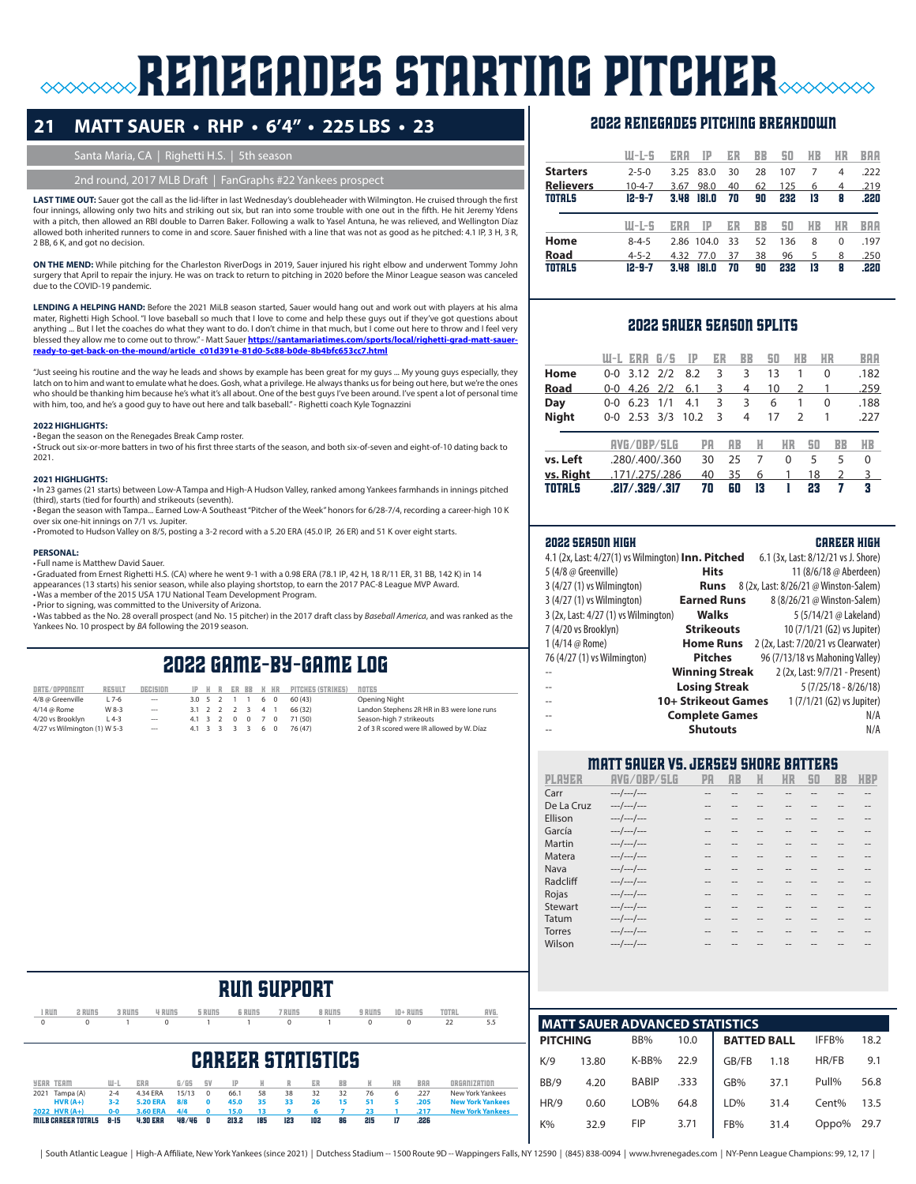# **RENEGADES STARTING PITCHER**

### **21 MATT SAUER • RHP • 6'4" • 225 LBS • 23**

#### Santa Maria, CA | Righetti H.S. | 5th season

#### 2nd round, 2017 MLB Draft | FanGraphs #22 Yankees prospect

LAST TIME OUT: Sauer got the call as the lid-lifter in last Wednesday's doubleheader with Wilmington. He cruised through the first four innings, allowing only two hits and striking out six, but ran into some trouble with one out in the fifth. He hit Jeremy Ydens with a pitch, then allowed an RBI double to Darren Baker. Following a walk to Yasel Antuna, he was relieved, and Wellington Díaz allowed both inherited runners to come in and score. Sauer finished with a line that was not as good as he pitched: 4.1 IP, 3 H, 3 R, 2 BB, 6 K, and got no decision.

**ON THE MEND:** While pitching for the Charleston RiverDogs in 2019, Sauer injured his right elbow and underwent Tommy John surgery that April to repair the injury. He was on track to return to pitching in 2020 before the Minor League season was canceled due to the COVID-19 pandemic.

**LENDING A HELPING HAND:** Before the 2021 MiLB season started, Sauer would hang out and work out with players at his alma mater, Righetti High School. "I love baseball so much that I love to come and help these guys out if they've got questions about anything ... But I let the coaches do what they want to do. I don't chime in that much, but I come out here to throw and I feel very blessed they allow me to come out to throw." - Matt Sauer **https://santamariatimes.com/sports/local/righetti-grad-matt-sauerready-to-get-back-on-the-mound/article\_c01d391e-81d0-5c88-b0de-8b4bfc653cc7.html**

"Just seeing his routine and the way he leads and shows by example has been great for my guys ... My young guys especially, they latch on to him and want to emulate what he does. Gosh, what a privilege. He always thanks us for being out here, but we're the ones who should be thanking him because he's what it's all about. One of the best guys I've been around. I've spent a lot of personal time with him, too, and he's a good guy to have out here and talk baseball." - Righetti coach Kyle Tognazzini

#### **2022 HIGHLIGHTS:**

•Began the season on the Renegades Break Camp roster. • Struck out six-or-more batters in two of his first three starts of the season, and both six-of-seven and eight-of-10 dating back to 2021.

#### **2021 HIGHLIGHTS:**

•In 23 games (21 starts) between Low-A Tampa and High-A Hudson Valley, ranked among Yankees farmhands in innings pitched (third), starts (tied for fourth) and strikeouts (seventh).

•Began the season with Tampa... Earned Low-A Southeast "Pitcher of the Week" honors for 6/28-7/4, recording a career-high 10 K over six one-hit innings on 7/1 vs. Jupiter.

•Promoted to Hudson Valley on 8/5, posting a 3-2 record with a 5.20 ERA (45.0 IP, 26 ER) and 51 K over eight starts.

#### **PERSONAL:**

• Full name is Matthew David Sauer.

•Graduated from Ernest Righetti H.S. (CA) where he went 9-1 with a 0.98 ERA (78.1 IP, 42 H, 18 R/11 ER, 31 BB, 142 K) in 14 appearances (13 starts) his senior season, while also playing shortstop, to earn the 2017 PAC-8 League MVP Award.

•Was a member of the 2015 USA 17U National Team Development Program.

•Prior to signing, was committed to the University of Arizona.

•Was tabbed as the No. 28 overall prospect (and No. 15 pitcher) in the 2017 draft class by *Baseball America*, and was ranked as the Yankees No. 10 prospect by *BA* following the 2019 season.

### 2022 game-by-game log

| DATE/OPPONENT                | <b>RESULT</b> | DECISION |                 |  |  |                 | IP H R ER BB K HR PITCHES (STRIKES) | <b>NOTES</b>                               |
|------------------------------|---------------|----------|-----------------|--|--|-----------------|-------------------------------------|--------------------------------------------|
| 4/8 @ Greenville             | $L$ 7-6       | $\sim$   | 3.0 5 2 1 1 6 0 |  |  |                 | 60(43)                              | Opening Night                              |
| 4/14 @ Rome                  | W 8-3         | $\sim$   |                 |  |  | 3.1 2 2 2 3 4 1 | 66 (32)                             | Landon Stephens 2R HR in B3 were lone runs |
| 4/20 vs Brooklyn             | $L$ 4-3       | $\sim$   |                 |  |  |                 | 4.1 3 2 0 0 7 0 71 (50)             | Season-high 7 strikeouts                   |
| 4/27 vs Wilmington (1) W 5-3 |               | $\sim$   |                 |  |  | 4.1 3 3 3 3 6 0 | 76 (47)                             | 2 of 3 R scored were IR allowed by W. Díaz |

#### 2022 renegades pitching breakdown

|                  | W-L-5        | ERA  | ΙP         | ER | BB | 50  | HB | ИR       | BAA        |
|------------------|--------------|------|------------|----|----|-----|----|----------|------------|
| <b>Starters</b>  | $2 - 5 - 0$  | 3.25 | 83.0       | 30 | 28 | 107 | 7  | 4        | .222       |
| <b>Relievers</b> | $10 - 4 - 7$ | 3.67 | 98.0       | 40 | 62 | 125 | 6  | 4        | .219       |
| <b>TOTALS</b>    | $12 - 9 - 7$ | 3.48 | 181.0      | 70 | 90 | 232 | 13 | 8        | .220       |
|                  |              |      |            |    |    |     |    |          |            |
|                  | W-L-5        | ERA  | IP         | ER | BB | 50  | HB | ИR       | <b>BAA</b> |
| Home             | $8 - 4 - 5$  |      | 2.86 104.0 | 33 | 52 | 136 | 8  | $\Omega$ | .197       |
| Road             | $4 - 5 - 2$  | 4.32 | 77.0       | 37 | 38 | 96  | 5  | 8        | .250       |

#### 2022 sauer season splits

|              | UJ-L.      | ERA                | 675 | IP   | ER | BB             |    | 50 | HВ            | ИR | BAA  |
|--------------|------------|--------------------|-----|------|----|----------------|----|----|---------------|----|------|
| Home         | <u>ດ-ດ</u> | 3.12 2/2           |     | 8.2  | 3  | 3              |    | 13 |               | 0  | .182 |
| <b>Road</b>  | 0-0        | $4.26$ $2/2$       |     | 6.1  | 3  | 4              |    | 10 | $\mathcal{P}$ |    | .259 |
| Day          | 0-0        | 6.23               | 1/1 | 4.1  | 3  | 3              |    | 6  | 1             | 0  | .188 |
| <b>Night</b> | $0-0$      | 2.53 3/3           |     | 10.2 | з  | $\overline{4}$ |    | 17 | $\mathcal{P}$ |    | .227 |
|              |            | <b>AVG/OBP/SLG</b> |     | PA   |    | <b>AB</b>      | H  | ИR | 50            | BB | HВ   |
| vs. Left     |            | .280/.400/.360     |     |      | 30 | 25             | 7  | 0  | 5             | 5  | 0    |
| vs. Right    |            | .171/.275/.286     |     |      | 40 | 35             | 6  | 1  | 18            | 2  | 3    |
| TOTALS       |            | .217/.329/.317     |     |      | 70 | ĥП             | 13 |    | 23            | 7  | я    |

#### 2022 season high career high

| 4.1 (2x, Last: 4/27(1) vs Wilmington) Inn. Pitched |                       | 6.1 (3x, Last: 8/12/21 vs J. Shore)   |
|----------------------------------------------------|-----------------------|---------------------------------------|
| 5 (4/8 @ Greenville)                               | <b>Hits</b>           | 11 (8/6/18 @ Aberdeen)                |
| 3 (4/27 (1) vs Wilmington)                         | Runs                  | 8 (2x, Last: 8/26/21 @ Winston-Salem) |
| 3 (4/27 (1) vs Wilmington)                         | <b>Earned Runs</b>    | 8 (8/26/21 @ Winston-Salem)           |
| 3 (2x, Last: 4/27 (1) vs Wilmington)               | <b>Walks</b>          | 5 (5/14/21 @ Lakeland)                |
| 7 (4/20 vs Brooklyn)                               | <b>Strikeouts</b>     | 10 (7/1/21 (G2) vs Jupiter)           |
| 1 (4/14 @ Rome)                                    | <b>Home Runs</b>      | 2 (2x, Last: 7/20/21 vs Clearwater)   |
| 76 (4/27 (1) vs Wilmington)                        | <b>Pitches</b>        | 96 (7/13/18 vs Mahoning Valley)       |
| $\overline{a}$                                     | <b>Winning Streak</b> | 2 (2x, Last: 9/7/21 - Present)        |
| --                                                 | <b>Losing Streak</b>  | $5(7/25/18 - 8/26/18)$                |
| --                                                 | 10+ Strikeout Games   | 1 (7/1/21 (G2) vs Jupiter)            |
| $\overline{\phantom{a}}$                           | <b>Complete Games</b> | N/A                                   |
| $\overline{\phantom{a}}$                           | <b>Shutouts</b>       | N/A                                   |
|                                                    |                       |                                       |

#### Matt Sauer vs. jersey shore batters

|               | AVG/IRP/      | PЯ | AR   |    | 50 | BB   | ики  |
|---------------|---------------|----|------|----|----|------|------|
| Carr          | $---/---/---$ | -- |      |    |    |      | --   |
| De La Cruz    | $---/---/---$ |    |      |    |    | --   | $-1$ |
| Ellison       | $---/---/---$ | -- | $-1$ | -- |    | $-1$ | $-1$ |
| García        | $---/---/---$ |    |      |    |    |      |      |
| Martin        | $---/---/---$ | -- | --   | -- |    | --   | $-1$ |
| Matera        | $---/---/---$ | -- |      |    |    |      | --   |
| Nava          | $---/---/---$ |    |      |    |    |      |      |
| Radcliff      | $---/---/---$ | -- |      |    |    | --   | $-1$ |
| Rojas         | $---/---/---$ | -- |      |    |    |      | --   |
| Stewart       | $---/---/---$ |    |      |    |    |      |      |
| Tatum         | $---/---/---$ | -- | --   |    |    | --   | $-$  |
| <b>Torres</b> | $---/---/---$ |    |      |    |    |      |      |
| Wilson        | $---/---/---$ |    |      |    |    |      |      |
|               |               |    |      |    |    |      |      |

| I RUN<br>$\mathbf 0$  | 2 RUNS<br>0               | 3 RUNS                        | <b>4 RUNS</b><br>0                             |                     | 5 RUNS                                   | <b>6 RUNS</b>            |                | 7 RUNS<br>0   |               | 8 RUNS    | 9 RUNS<br>0    |         | $10 +$ RUNS<br>0     | TOTAL<br>22  | AVG.<br>5.5                                                            |
|-----------------------|---------------------------|-------------------------------|------------------------------------------------|---------------------|------------------------------------------|--------------------------|----------------|---------------|---------------|-----------|----------------|---------|----------------------|--------------|------------------------------------------------------------------------|
|                       |                           |                               |                                                |                     |                                          | <b>CAREER STATISTICS</b> |                |               |               |           |                |         |                      |              |                                                                        |
| YEAR                  | <b>TEAM</b>               | Ш-L                           | <b>ERR</b>                                     | G/GS                | 5V                                       | IP                       | Н              | R             | ER            | <b>BB</b> | K              | HR      | <b>BAA</b>           | ORGANIZATION |                                                                        |
| 2021<br>2022 HVR (A+) | Tampa (A)<br>$HVR(A+)$    | $2 - 4$<br>$3 - 2$<br>$0 - 0$ | 4.34 ERA<br><b>5.20 ERA</b><br><b>3.60 ERA</b> | 15/13<br>8/8<br>4/4 | $\Omega$<br>$\mathbf{0}$<br>$\mathbf{0}$ | 66.1<br>45.0<br>15.0     | 58<br>35<br>13 | 38<br>33<br>9 | 32<br>26<br>6 | 32<br>15  | 76<br>51<br>23 | 6<br>5. | .227<br>.205<br>.217 |              | New York Yankees<br><b>New York Yankees</b><br><b>New York Yankees</b> |
|                       | <b>MILB CAREER TOTALS</b> | $8 - 15$                      | <b>4.30 ERA</b>                                | 48/46               | 0                                        | 213.2                    | 185            | 123           | 102           | 86        | 215            | 17      | .226                 |              |                                                                        |

| <b>MATT SAUER ADVANCED STATISTICS</b> |       |              |      |                    |      |       |      |  |  |  |  |  |
|---------------------------------------|-------|--------------|------|--------------------|------|-------|------|--|--|--|--|--|
| <b>PITCHING</b>                       |       | BB%          | 10.0 | <b>BATTED BALL</b> |      | IFFB% | 18.2 |  |  |  |  |  |
| K/9                                   | 13.80 | K-BB%        | 22.9 | GB/FB              | 1.18 | HR/FB | 9.1  |  |  |  |  |  |
| BB/9                                  | 4.20  | <b>BABIP</b> | .333 | GB%                | 37.1 | Pull% | 56.8 |  |  |  |  |  |
| HR/9                                  | 0.60  | LOB%         | 64.8 | LD%                | 31.4 | Cent% | 13.5 |  |  |  |  |  |
| $K\%$                                 | 32.9  | <b>FIP</b>   | 3.71 | FB%                | 31.4 | Oppo% | 29.7 |  |  |  |  |  |

### run support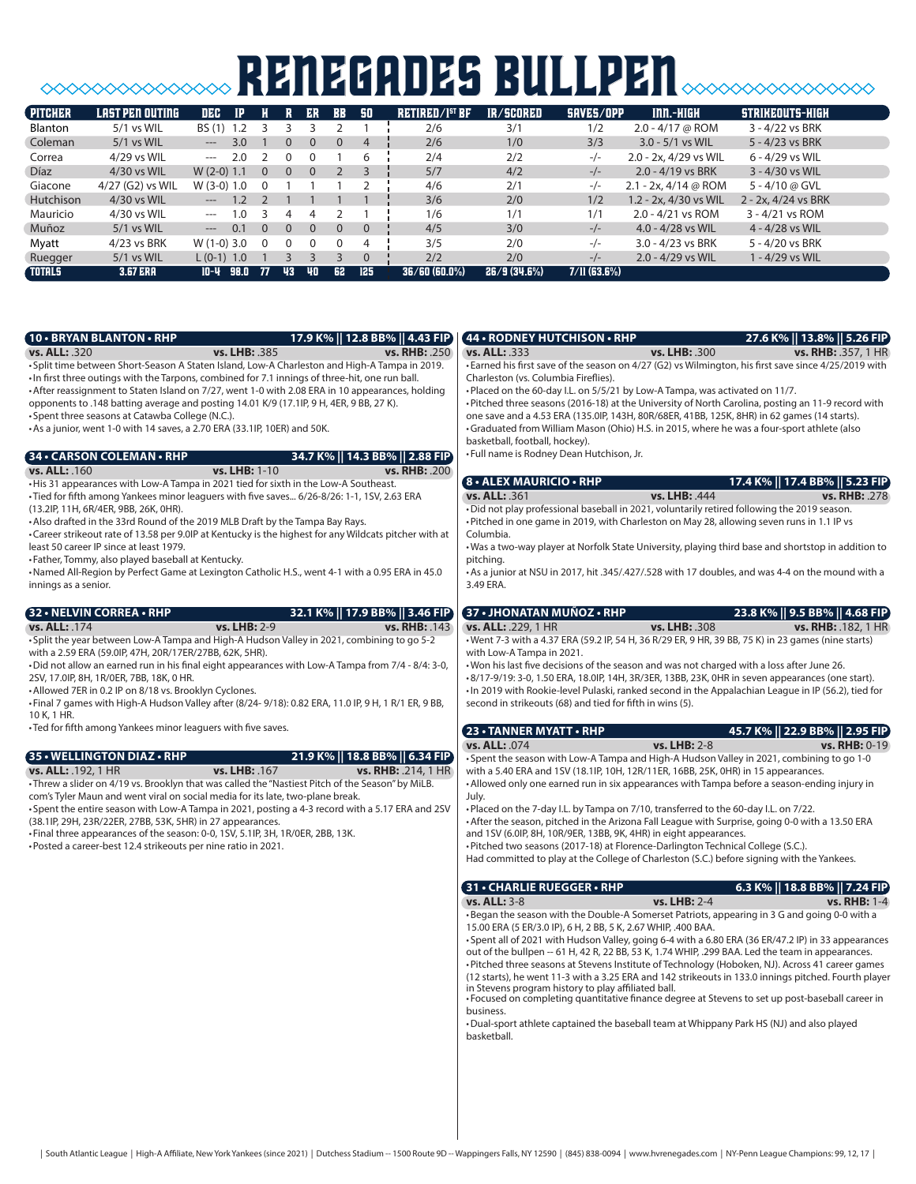# **SOOOOOOOOOOOOOOO RENEGADES BULLPEN**SOOOOOOOOOOO

| <b>PITCHER</b> | LAST PEN OUTING  | DEC                                   |      |          |                | ER       | <b>BB</b> | 50       | <b>RETIRED/I<sup>st</sup> BF</b> | IR/SCORED   | SAVES/OPP      | $IM. - HIGH$          | STRIKEOUTS-HIGH     |
|----------------|------------------|---------------------------------------|------|----------|----------------|----------|-----------|----------|----------------------------------|-------------|----------------|-----------------------|---------------------|
| <b>Blanton</b> | 5/1 vs WIL       | BS (1) 1.2                            |      |          |                |          |           |          | 2/6                              | 3/1         | 1/2            | $2.0 - 4/17$ @ ROM    | 3 - 4/22 vs BRK     |
| Coleman        | $5/1$ vs WIL     | $---$                                 | 3.0  |          | $\Omega$       |          | $\Omega$  | 4        | 2/6                              | 1/0         | 3/3            | $3.0 - 5/1$ vs WIL    | 5 - 4/23 vs BRK     |
| Correa         | 4/29 vs WIL      | $\cdots$                              | 2.0  |          | 0              |          |           | 6        | 2/4                              | 2/2         | $-/-$          | 2.0 - 2x, 4/29 vs WIL | 6 - 4/29 vs WIL     |
| <b>Díaz</b>    | 4/30 vs WIL      | $W(2-0)$ 1.1                          |      | $\Omega$ | $\overline{0}$ | $\Omega$ |           |          | 5/7                              | 4/2         | $-/-$          | $2.0 - 4/19$ vs BRK   | 3 - 4/30 vs WIL     |
| Giacone        | 4/27 (G2) vs WIL | $W(3-0)$ 1.0                          |      |          |                |          |           |          | 4/6                              | 2/1         | $-/-$          | 2.1 - 2x, 4/14 @ ROM  | 5 - 4/10 @ GVL      |
| Hutchison      | 4/30 vs WIL      | $\hspace{1.5cm} \dots \hspace{1.5cm}$ |      |          |                |          |           |          | 3/6                              | 2/0         | 1/2            | 1.2 - 2x, 4/30 vs WIL | 2 - 2x, 4/24 vs BRK |
| Mauricio       | 4/30 vs WIL      | $---$                                 | 1.0  |          | 4              | 4        |           |          | 1/6                              | 1/1         | 1/1            | $2.0 - 4/21$ vs ROM   | 3 - 4/21 vs ROM     |
| Muñoz          | $5/1$ vs WIL     | $\hspace{1.5cm} \textbf{---}$         | 0.1  | $\Omega$ | $\Omega$       | $\Omega$ | $\Omega$  | $\Omega$ | 4/5                              | 3/0         | $-/-$          | $4.0 - 4/28$ vs WIL   | 4 - 4/28 vs WIL     |
| Myatt          | 4/23 vs BRK      | $W(1-0)$ 3.0                          |      | $\Omega$ | 0              |          |           | 4        | 3/5                              | 2/0         | $-/-$          | 3.0 - 4/23 vs BRK     | 5 - 4/20 vs BRK     |
| Ruegger        | $5/1$ vs WIL     | $L (0-1) 1.0$                         |      |          |                |          |           | $\Omega$ | 2/2                              | 2/0         | $-/-$          | $2.0 - 4/29$ vs WIL   | 1 - 4/29 vs WIL     |
| <b>TOTALS</b>  | <b>3.67 ERA</b>  | 10-4                                  | 98.0 | - 77     | 43             | 40       | 62        | 125      | 36/60(60.0%)                     | 26/9(34.6%) | $7/11$ (63.6%) |                       |                     |

| <b>10 • BRYAN BLANTON • RHP</b>                                                                                                                               |                | 17.9 K%    12.8 BB%    4.43 FIP) | (44 • RODNEY HUTCHISON • RHP                                                                                                                                                                         |               | 27.6 K%    13.8%    5.26 FIP)                                                                        |
|---------------------------------------------------------------------------------------------------------------------------------------------------------------|----------------|----------------------------------|------------------------------------------------------------------------------------------------------------------------------------------------------------------------------------------------------|---------------|------------------------------------------------------------------------------------------------------|
| <b>vs. ALL: 320</b>                                                                                                                                           | vs. LHB: .385  | <b>vs. RHB: .250</b>             | <b>vs. ALL: 333</b>                                                                                                                                                                                  | vs. LHB: .300 | <b>vs. RHB: .357, 1 HR</b>                                                                           |
| • Split time between Short-Season A Staten Island, Low-A Charleston and High-A Tampa in 2019.                                                                 |                |                                  | • Earned his first save of the season on 4/27 (G2) vs Wilmington, his first save since 4/25/2019 with                                                                                                |               |                                                                                                      |
| . In first three outings with the Tarpons, combined for 7.1 innings of three-hit, one run ball.                                                               |                |                                  | Charleston (vs. Columbia Fireflies).                                                                                                                                                                 |               |                                                                                                      |
| • After reassignment to Staten Island on 7/27, went 1-0 with 2.08 ERA in 10 appearances, holding                                                              |                |                                  | . Placed on the 60-day I.L. on 5/5/21 by Low-A Tampa, was activated on 11/7.                                                                                                                         |               |                                                                                                      |
| opponents to .148 batting average and posting 14.01 K/9 (17.1lP, 9 H, 4ER, 9 BB, 27 K).                                                                       |                |                                  | • Pitched three seasons (2016-18) at the University of North Carolina, posting an 11-9 record with                                                                                                   |               |                                                                                                      |
| • Spent three seasons at Catawba College (N.C.).                                                                                                              |                |                                  | one save and a 4.53 ERA (135.0IP, 143H, 80R/68ER, 41BB, 125K, 8HR) in 62 games (14 starts).<br>•Graduated from William Mason (Ohio) H.S. in 2015, where he was a four-sport athlete (also            |               |                                                                                                      |
| • As a junior, went 1-0 with 14 saves, a 2.70 ERA (33.1IP, 10ER) and 50K.                                                                                     |                |                                  | basketball, football, hockey).                                                                                                                                                                       |               |                                                                                                      |
|                                                                                                                                                               |                |                                  | • Full name is Rodney Dean Hutchison, Jr.                                                                                                                                                            |               |                                                                                                      |
| 34 • CARSON COLEMAN • RHP                                                                                                                                     |                | 34.7 K%    14.3 BB%    2.88 FIP  |                                                                                                                                                                                                      |               |                                                                                                      |
| <b>vs. ALL: . 160</b><br>. His 31 appearances with Low-A Tampa in 2021 tied for sixth in the Low-A Southeast.                                                 | vs. LHB: 1-10  | <b>vs. RHB: .200</b>             | <b>8 • ALEX MAURICIO • RHP</b>                                                                                                                                                                       |               | 17.4 K%    17.4 BB%    5.23 FIP                                                                      |
| •Tied for fifth among Yankees minor leaguers with five saves 6/26-8/26: 1-1, 1SV, 2.63 ERA                                                                    |                |                                  | <b>vs. ALL: 361</b>                                                                                                                                                                                  | vs. LHB: .444 | <b>vs. RHB: .278</b>                                                                                 |
| (13.2IP, 11H, 6R/4ER, 9BB, 26K, 0HR).                                                                                                                         |                |                                  | . Did not play professional baseball in 2021, voluntarily retired following the 2019 season.                                                                                                         |               |                                                                                                      |
| • Also drafted in the 33rd Round of the 2019 MLB Draft by the Tampa Bay Rays.                                                                                 |                |                                  | • Pitched in one game in 2019, with Charleston on May 28, allowing seven runs in 1.1 IP vs                                                                                                           |               |                                                                                                      |
| •Career strikeout rate of 13.58 per 9.0IP at Kentucky is the highest for any Wildcats pitcher with at                                                         |                |                                  | Columbia.                                                                                                                                                                                            |               |                                                                                                      |
| least 50 career IP since at least 1979.                                                                                                                       |                |                                  | . Was a two-way player at Norfolk State University, playing third base and shortstop in addition to                                                                                                  |               |                                                                                                      |
| • Father, Tommy, also played baseball at Kentucky.                                                                                                            |                |                                  | pitching.                                                                                                                                                                                            |               |                                                                                                      |
| Named All-Region by Perfect Game at Lexington Catholic H.S., went 4-1 with a 0.95 ERA in 45.0                                                                 |                |                                  | • As a junior at NSU in 2017, hit .345/.427/.528 with 17 doubles, and was 4-4 on the mound with a                                                                                                    |               |                                                                                                      |
| innings as a senior.                                                                                                                                          |                |                                  | 3.49 ERA.                                                                                                                                                                                            |               |                                                                                                      |
|                                                                                                                                                               |                |                                  |                                                                                                                                                                                                      |               |                                                                                                      |
| 32 • NELVIN CORREA • RHP                                                                                                                                      |                | 32.1 K%    17.9 BB%    3.46 FIP  | 37 • JHONATAN MUÑOZ • RHP                                                                                                                                                                            |               | 23.8 K%    9.5 BB%    4.68 FIP)                                                                      |
| vs. ALL: .174<br>• Split the year between Low-A Tampa and High-A Hudson Valley in 2021, combining to go 5-2                                                   | vs. LHB: 2-9   | <b>vs. RHB: .143</b>             | vs. ALL: .229, 1 HR                                                                                                                                                                                  | vs. LHB: .308 | vs. RHB: . 182, 1 HR                                                                                 |
| with a 2.59 ERA (59.0IP, 47H, 20R/17ER/27BB, 62K, 5HR).                                                                                                       |                |                                  | • Went 7-3 with a 4.37 ERA (59.2 IP, 54 H, 36 R/29 ER, 9 HR, 39 BB, 75 K) in 23 games (nine starts)<br>with Low-A Tampa in 2021.                                                                     |               |                                                                                                      |
| • Did not allow an earned run in his final eight appearances with Low-A Tampa from 7/4 - 8/4: 3-0,                                                            |                |                                  | . Won his last five decisions of the season and was not charged with a loss after June 26.                                                                                                           |               |                                                                                                      |
| 2SV, 17.0IP, 8H, 1R/0ER, 7BB, 18K, 0 HR.                                                                                                                      |                |                                  | •8/17-9/19: 3-0, 1.50 ERA, 18.0IP, 14H, 3R/3ER, 13BB, 23K, 0HR in seven appearances (one start).                                                                                                     |               |                                                                                                      |
| • Allowed 7ER in 0.2 IP on 8/18 vs. Brooklyn Cyclones.                                                                                                        |                |                                  | . In 2019 with Rookie-level Pulaski, ranked second in the Appalachian League in IP (56.2), tied for                                                                                                  |               |                                                                                                      |
| . Final 7 games with High-A Hudson Valley after (8/24-9/18): 0.82 ERA, 11.0 IP, 9 H, 1 R/1 ER, 9 BB,                                                          |                |                                  | second in strikeouts (68) and tied for fifth in wins (5).                                                                                                                                            |               |                                                                                                      |
| 10 K, 1 HR.                                                                                                                                                   |                |                                  |                                                                                                                                                                                                      |               |                                                                                                      |
| • Ted for fifth among Yankees minor leaguers with five saves.                                                                                                 |                |                                  | 23 • TANNER MYATT • RHP                                                                                                                                                                              |               | 45.7 K%    22.9 BB%    2.95 FIP)                                                                     |
|                                                                                                                                                               |                |                                  | vs. ALL: .074                                                                                                                                                                                        | vs. LHB: 2-8  | vs. RHB: 0-19                                                                                        |
| 35 • WELLINGTON DIAZ • RHP                                                                                                                                    |                | 21.9 K%    18.8 BB%    6.34 FIP  | • Spent the season with Low-A Tampa and High-A Hudson Valley in 2021, combining to go 1-0                                                                                                            |               |                                                                                                      |
| <b>vs. ALL: .192, 1 HR</b>                                                                                                                                    | vs. LHB: . 167 | vs. RHB: .214, 1 HR              | with a 5.40 ERA and 1SV (18.1lP, 10H, 12R/11ER, 16BB, 25K, 0HR) in 15 appearances.                                                                                                                   |               |                                                                                                      |
| - Threw a slider on 4/19 vs. Brooklyn that was called the "Nastiest Pitch of the Season" by MiLB.                                                             |                |                                  | • Allowed only one earned run in six appearances with Tampa before a season-ending injury in                                                                                                         |               |                                                                                                      |
| com's Tyler Maun and went viral on social media for its late, two-plane break.                                                                                |                |                                  | July.                                                                                                                                                                                                |               |                                                                                                      |
| •Spent the entire season with Low-A Tampa in 2021, posting a 4-3 record with a 5.17 ERA and 2SV<br>(38.1IP, 29H, 23R/22ER, 27BB, 53K, 5HR) in 27 appearances. |                |                                  | •Placed on the 7-day I.L. by Tampa on 7/10, transferred to the 60-day I.L. on 7/22.<br>• After the season, pitched in the Arizona Fall League with Surprise, going 0-0 with a 13.50 ERA              |               |                                                                                                      |
| . Final three appearances of the season: 0-0, 1SV, 5.1IP, 3H, 1R/0ER, 2BB, 13K.                                                                               |                |                                  | and 1SV (6.0IP, 8H, 10R/9ER, 13BB, 9K, 4HR) in eight appearances.                                                                                                                                    |               |                                                                                                      |
| • Posted a career-best 12.4 strikeouts per nine ratio in 2021.                                                                                                |                |                                  | ·Pitched two seasons (2017-18) at Florence-Darlington Technical College (S.C.).                                                                                                                      |               |                                                                                                      |
|                                                                                                                                                               |                |                                  | Had committed to play at the College of Charleston (S.C.) before signing with the Yankees.                                                                                                           |               |                                                                                                      |
|                                                                                                                                                               |                |                                  |                                                                                                                                                                                                      |               |                                                                                                      |
|                                                                                                                                                               |                |                                  | 31 • CHARLIE RUEGGER • RHP                                                                                                                                                                           |               | 6.3 K%    18.8 BB%    7.24 FIP)                                                                      |
|                                                                                                                                                               |                |                                  | <b>vs. ALL: 3-8</b>                                                                                                                                                                                  | vs. LHB: 2-4  | vs. RHB: 1-4                                                                                         |
|                                                                                                                                                               |                |                                  | • Began the season with the Double-A Somerset Patriots, appearing in 3 G and going 0-0 with a                                                                                                        |               |                                                                                                      |
|                                                                                                                                                               |                |                                  | 15.00 ERA (5 ER/3.0 IP), 6 H, 2 BB, 5 K, 2.67 WHIP, .400 BAA.                                                                                                                                        |               |                                                                                                      |
|                                                                                                                                                               |                |                                  | • Spent all of 2021 with Hudson Valley, going 6-4 with a 6.80 ERA (36 ER/47.2 IP) in 33 appearances                                                                                                  |               |                                                                                                      |
|                                                                                                                                                               |                |                                  | out of the bullpen -- 61 H, 42 R, 22 BB, 53 K, 1.74 WHIP, .299 BAA. Led the team in appearances.<br>• Pitched three seasons at Stevens Institute of Technology (Hoboken, NJ). Across 41 career games |               |                                                                                                      |
|                                                                                                                                                               |                |                                  |                                                                                                                                                                                                      |               | (12 starts), he went 11-3 with a 3.25 ERA and 142 strikeouts in 133.0 innings pitched. Fourth player |
|                                                                                                                                                               |                |                                  | in Stevens program history to play affiliated ball.                                                                                                                                                  |               |                                                                                                      |
|                                                                                                                                                               |                |                                  | • Focused on completing quantitative finance degree at Stevens to set up post-baseball career in                                                                                                     |               |                                                                                                      |
|                                                                                                                                                               |                |                                  | business.                                                                                                                                                                                            |               |                                                                                                      |
|                                                                                                                                                               |                |                                  | •Dual-sport athlete captained the baseball team at Whippany Park HS (NJ) and also played<br>basketball.                                                                                              |               |                                                                                                      |
|                                                                                                                                                               |                |                                  |                                                                                                                                                                                                      |               |                                                                                                      |
|                                                                                                                                                               |                |                                  |                                                                                                                                                                                                      |               |                                                                                                      |
|                                                                                                                                                               |                |                                  |                                                                                                                                                                                                      |               |                                                                                                      |
|                                                                                                                                                               |                |                                  |                                                                                                                                                                                                      |               |                                                                                                      |
|                                                                                                                                                               |                |                                  |                                                                                                                                                                                                      |               |                                                                                                      |
|                                                                                                                                                               |                |                                  |                                                                                                                                                                                                      |               |                                                                                                      |
|                                                                                                                                                               |                |                                  |                                                                                                                                                                                                      |               |                                                                                                      |
|                                                                                                                                                               |                |                                  |                                                                                                                                                                                                      |               |                                                                                                      |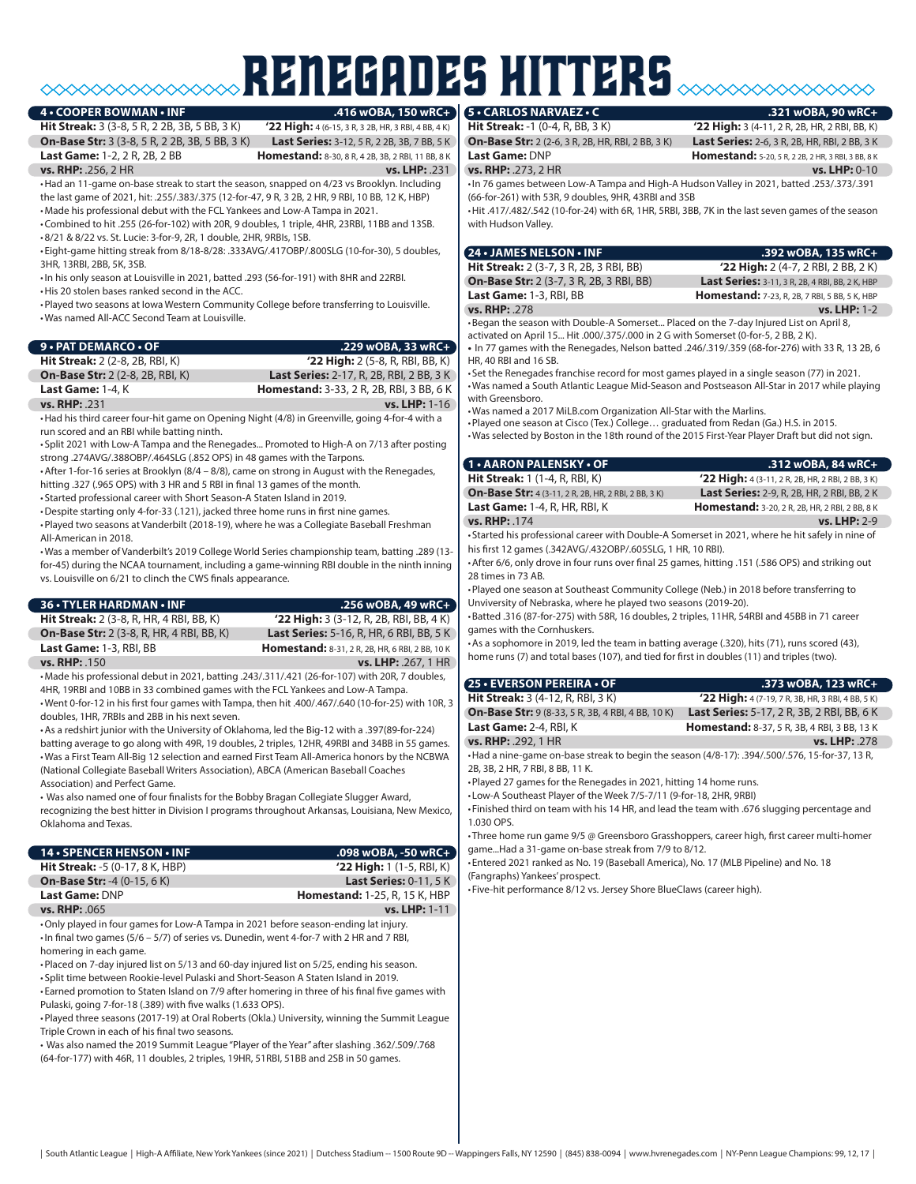# RENEGADES hitters

#### **4 • COOPER BOWMAN • INF**

**On-Base Str: 3** (3-8, 5 R, 2 2B, 3B, 5 BB, 3 K) **Last Series:** 3-12, 5 R, 2 2B, 3B, 7 BB, 5 K<br>**Last Game:** 1-2. 2 R. 2B, 2 BB<br>**Homestand:** 8-30, 8 R, 4 2B, 3B, 2 RB, 11 BB, 8 K

**Hit Streak:** 3 (3-8, 5 R, 2 2B, 3B, 5 BB, 3 K) **'22 High:** 4 (6-15, 3 R, 3 2B, HR, 3 RBI, 4 BB, 4 K) **Homestand:** 8-30, 8 R, 4 2B, 3B, 2 RBI, 11 BB, 8 K

**vs. RHP:** .256, 2 HR **vs. LHP:** .231

•Had an 11-game on-base streak to start the season, snapped on 4/23 vs Brooklyn. Including the last game of 2021, hit: .255/.383/.375 (12-for-47, 9 R, 3 2B, 2 HR, 9 RBI, 10 BB, 12 K, HBP) •Made his professional debut with the FCL Yankees and Low-A Tampa in 2021.

•Combined to hit .255 (26-for-102) with 20R, 9 doubles, 1 triple, 4HR, 23RBI, 11BB and 13SB. •8/21 & 8/22 vs. St. Lucie: 3-for-9, 2R, 1 double, 2HR, 9RBIs, 1SB.

• Eight-game hitting streak from 8/18-8/28: .333AVG/.417OBP/.800SLG (10-for-30), 5 doubles, 3HR, 13RBI, 2BB, 5K, 3SB.

•In his only season at Louisville in 2021, batted .293 (56-for-191) with 8HR and 22RBI.

•His 20 stolen bases ranked second in the ACC.

•Played two seasons at Iowa Western Community College before transferring to Louisville. •Was named All-ACC Second Team at Louisville.

| 9 • PAT DEMARCO • OF                    | $.229$ wOBA, 33 wRC+                            |
|-----------------------------------------|-------------------------------------------------|
| <b>Hit Streak:</b> 2 (2-8, 2B, RBI, K)  | '22 High: $2$ (5-8, R, RBI, BB, K)              |
| <b>On-Base Str:</b> 2 (2-8, 2B, RBI, K) | <b>Last Series:</b> 2-17, R, 2B, RBI, 2 BB, 3 K |
| Last Game: 1-4, K                       | <b>Homestand:</b> 3-33, 2 R, 2B, RBI, 3 BB, 6 K |
| vs. RHP: .231                           | <b>vs. LHP:</b> 1-16                            |
|                                         |                                                 |

•Had his third career four-hit game on Opening Night (4/8) in Greenville, going 4-for-4 with a run scored and an RBI while batting ninth.

• Split 2021 with Low-A Tampa and the Renegades... Promoted to High-A on 7/13 after posting strong .274AVG/.388OBP/.464SLG (.852 OPS) in 48 games with the Tarpons.

•After 1-for-16 series at Brooklyn (8/4 – 8/8), came on strong in August with the Renegades, hitting .327 (.965 OPS) with 3 HR and 5 RBI in final 13 games of the month.

• Started professional career with Short Season-A Staten Island in 2019.

•Despite starting only 4-for-33 (.121), jacked three home runs in first nine games.

•Played two seasons at Vanderbilt (2018-19), where he was a Collegiate Baseball Freshman All-American in 2018.

•Was a member of Vanderbilt's 2019 College World Series championship team, batting .289 (13 for-45) during the NCAA tournament, including a game-winning RBI double in the ninth inning vs. Louisville on 6/21 to clinch the CWS finals appearance.

| <b>36 • TYLER HARDMAN • INF</b>                                                                     | $.256$ wOBA, 49 wRC+                            |
|-----------------------------------------------------------------------------------------------------|-------------------------------------------------|
| <b>Hit Streak:</b> 2 (3-8, R, HR, 4 RBI, BB, K)                                                     | '22 High: 3 (3-12, R, 2B, RBI, BB, 4 K)         |
| <b>On-Base Str:</b> 2 (3-8, R, HR, 4 RBI, BB, K)                                                    | <b>Last Series: 5-16, R, HR, 6 RBI, BB, 5 K</b> |
| Last Game: 1-3, RBI, BB                                                                             | Homestand: 8-31, 2 R, 2B, HR, 6 RBI, 2 BB, 10 K |
| vs. RHP: .150                                                                                       | vs. LHP: . 267, 1 HR                            |
| •Made his professional debut in 2021, batting .243/.311/.421 (26-for-107) with 20R, 7 doubles,      |                                                 |
| 4HR, 19RBI and 10BB in 33 combined games with the FCL Yankees and Low-A Tampa.                      |                                                 |
| . Went 0-for-12 in his first four games with Tampa, then hit .400/.467/.640 (10-for-25) with 10R, 3 |                                                 |
| doubles, 1HR, 7RBIs and 2BB in his next seven.                                                      |                                                 |

•As a redshirt junior with the University of Oklahoma, led the Big-12 with a .397(89-for-224) batting average to go along with 49R, 19 doubles, 2 triples, 12HR, 49RBI and 34BB in 55 games. •Was a First Team All-Big 12 selection and earned First Team All-America honors by the NCBWA (National Collegiate Baseball Writers Association), ABCA (American Baseball Coaches Association) and Perfect Game.

• Was also named one of four finalists for the Bobby Bragan Collegiate Slugger Award, recognizing the best hitter in Division I programs throughout Arkansas, Louisiana, New Mexico, Oklahoma and Texas.

| 14 • SPENCER HENSON • INF                                                                                                                                                                                        | .098 wOBA, -50 wRC+                  |
|------------------------------------------------------------------------------------------------------------------------------------------------------------------------------------------------------------------|--------------------------------------|
| <b>Hit Streak: -5 (0-17, 8 K, HBP)</b>                                                                                                                                                                           | $'22$ High: 1 (1-5, RBI, K)          |
| <b>On-Base Str: -4 (0-15, 6 K)</b>                                                                                                                                                                               | <b>Last Series: 0-11, 5 K</b>        |
| <b>Last Game: DNP</b>                                                                                                                                                                                            | <b>Homestand: 1-25, R, 15 K, HBP</b> |
| <b>vs. RHP: .065</b>                                                                                                                                                                                             | vs. LHP: 1-11                        |
| •Only played in four games for Low-A Tampa in 2021 before season-ending lat injury.<br>$\cdot$ In final two games (5/6 – 5/7) of series vs. Dunedin, went 4-for-7 with 2 HR and 7 RBI,<br>homering in each game. |                                      |
| . Placed on 7-day injured list on 5/13 and 60-day injured list on 5/25, ending his season.<br>• Split time between Rookie-level Pulaski and Short-Season A Staten Island in 2019.                                |                                      |
|                                                                                                                                                                                                                  |                                      |

• Earned promotion to Staten Island on 7/9 after homering in three of his final five games with Pulaski, going 7-for-18 (.389) with five walks (1.633 OPS).

•Played three seasons (2017-19) at Oral Roberts (Okla.) University, winning the Summit League Triple Crown in each of his final two seasons.

• Was also named the 2019 Summit League "Player of the Year" after slashing .362/.509/.768 (64-for-177) with 46R, 11 doubles, 2 triples, 19HR, 51RBI, 51BB and 2SB in 50 games.

#### **5 • CARLOS NARVAEZ • C .321 wOBA, 90 wRC+**

**vs. RHP: .273, 2 HR** 

**Hit Streak:** -1 (0-4, R, BB, 3 K) **'22 High:** 3 (4-11, 2 R, 2B, HR, 2 RBI, BB, K) **On-Base Str:** 2 (2-6, 3 R, 2B, HR, RBI, 2 BB, 3 K) **Last Series:** 2-6, 3 R, 2B, HR, RBI, 2 BB, 3 K

**Last Game:** DNP **Homestand:**  $5-20, 5 R, 2 2 B, 2 HR, 3 RB, 3 BB, 8 K$ <br> **vs. RHP:** .273, 2 HR

•In 76 games between Low-A Tampa and High-A Hudson Valley in 2021, batted .253/.373/.391 (66-for-261) with 53R, 9 doubles, 9HR, 43RBI and 3SB

•Hit .417/.482/.542 (10-for-24) with 6R, 1HR, 5RBI, 3BB, 7K in the last seven games of the season with Hudson Valley.

| <b>24 • JAMES NELSON • INF</b>                                                                                                                  | .392 wOBA, 135 wRC+                                    |
|-------------------------------------------------------------------------------------------------------------------------------------------------|--------------------------------------------------------|
| <b>Hit Streak:</b> 2 (3-7, 3 R, 2B, 3 RBI, BB)                                                                                                  | $'22$ High: 2 (4-7, 2 RBI, 2 BB, 2 K)                  |
| <b>On-Base Str: 2 (3-7, 3 R, 2B, 3 RBI, BB)</b>                                                                                                 | <b>Last Series:</b> 3-11, 3 R, 2B, 4 RBI, BB, 2 K, HBP |
| Last Game: 1-3, RBI, BB                                                                                                                         | <b>Homestand:</b> 7-23, R, 2B, 7 RBI, 5 BB, 5 K, HBP   |
| vs. RHP: .278                                                                                                                                   | <b>vs. LHP: 1-2</b>                                    |
| $\mathbf{D}$ . The distribution of the $\mathbf{D}$ such that $\mathbf{D}$ is a set of the set of the set of the set of the set of $\mathbf{D}$ |                                                        |

•Began the season with Double-A Somerset... Placed on the 7-day Injured List on April 8, activated on April 15... Hit .000/.375/.000 in 2 G with Somerset (0-for-5, 2 BB, 2 K).

**•** In 77 games with the Renegades, Nelson batted .246/.319/.359 (68-for-276) with 33 R, 13 2B, 6 HR, 40 RBI and 16 SB.

• Set the Renegades franchise record for most games played in a single season (77) in 2021. •Was named a South Atlantic League Mid-Season and Postseason All-Star in 2017 while playing with Greensboro.

•Was named a 2017 MiLB.com Organization All-Star with the Marlins.

•Played one season at Cisco (Tex.) College… graduated from Redan (Ga.) H.S. in 2015. •Was selected by Boston in the 18th round of the 2015 First-Year Player Draft but did not sign.

| <b>1 • AARON PALENSKY • OF</b>                                                                                                                                                                                                      | $.312$ wOBA, 84 wRC+                                  |
|-------------------------------------------------------------------------------------------------------------------------------------------------------------------------------------------------------------------------------------|-------------------------------------------------------|
| <b>Hit Streak:</b> 1 (1-4, R, RBI, K)                                                                                                                                                                                               | '22 High: 4 (3-11, 2 R, 2B, HR, 2 RBI, 2 BB, 3 K)     |
| <b>On-Base Str:</b> 4 (3-11, 2 R, 2B, HR, 2 RBI, 2 BB, 3 K)                                                                                                                                                                         | <b>Last Series:</b> 2-9, R, 2B, HR, 2 RBI, BB, 2 K    |
| <b>Last Game: 1-4, R, HR, RBI, K</b>                                                                                                                                                                                                | <b>Homestand:</b> 3-20, 2 R, 2B, HR, 2 RBI, 2 BB, 8 K |
| vs. RHP: 174                                                                                                                                                                                                                        | $vs.$ LHP: 2-9                                        |
| $\epsilon$ , iii , and it is a strategy of the state of the state of the state of the state of the state of the state of the state of the state of the state of the state of the state of the state of the state of the state of th |                                                       |

• Started his professional career with Double-A Somerset in 2021, where he hit safely in nine of his first 12 games (.342AVG/.432OBP/.605SLG, 1 HR, 10 RBI).

•After 6/6, only drove in four runs over final 25 games, hitting .151 (.586 OPS) and striking out 28 times in 73 AB.

•Played one season at Southeast Community College (Neb.) in 2018 before transferring to Unviversity of Nebraska, where he played two seasons (2019-20).

•Batted .316 (87-for-275) with 58R, 16 doubles, 2 triples, 11HR, 54RBI and 45BB in 71 career games with the Cornhuskers.

•As a sophomore in 2019, led the team in batting average (.320), hits (71), runs scored (43), home runs (7) and total bases (107), and tied for first in doubles (11) and triples (two).

| 25 · EVERSON PEREIRA · OF                                                                      | .373 wOBA, 123 wRC+                                |
|------------------------------------------------------------------------------------------------|----------------------------------------------------|
| <b>Hit Streak: 3 (4-12, R, RBI, 3 K)</b>                                                       | '22 High: 4 (7-19, 7 R, 3B, HR, 3 RBI, 4 BB, 5 K)  |
| <b>On-Base Str:</b> 9 (8-33, 5 R, 3B, 4 RBI, 4 BB, 10 K)                                       | <b>Last Series:</b> 5-17, 2 R, 3B, 2 RBI, BB, 6 K  |
| Last Game: 2-4, RBI, K                                                                         | <b>Homestand: 8-37, 5 R, 3B, 4 RBI, 3 BB, 13 K</b> |
| vs. RHP: .292, 1 HR                                                                            | vs. LHP: .278                                      |
| +Had a nine-game on-base streak to begin the season (4/8-17): .394/.500/.576, 15-for-37, 13 R, |                                                    |

2B, 3B, 2 HR, 7 RBI, 8 BB, 11 K.

•Played 27 games for the Renegades in 2021, hitting 14 home runs.

• Low-A Southeast Player of the Week 7/5-7/11 (9-for-18, 2HR, 9RBI)

• Finished third on team with his 14 HR, and lead the team with .676 slugging percentage and 1.030 OPS.

• Three home run game 9/5 @ Greensboro Grasshoppers, career high, first career multi-homer game...Had a 31-game on-base streak from 7/9 to 8/12.

• Entered 2021 ranked as No. 19 (Baseball America), No. 17 (MLB Pipeline) and No. 18 (Fangraphs) Yankees' prospect.

• Five-hit performance 8/12 vs. Jersey Shore BlueClaws (career high).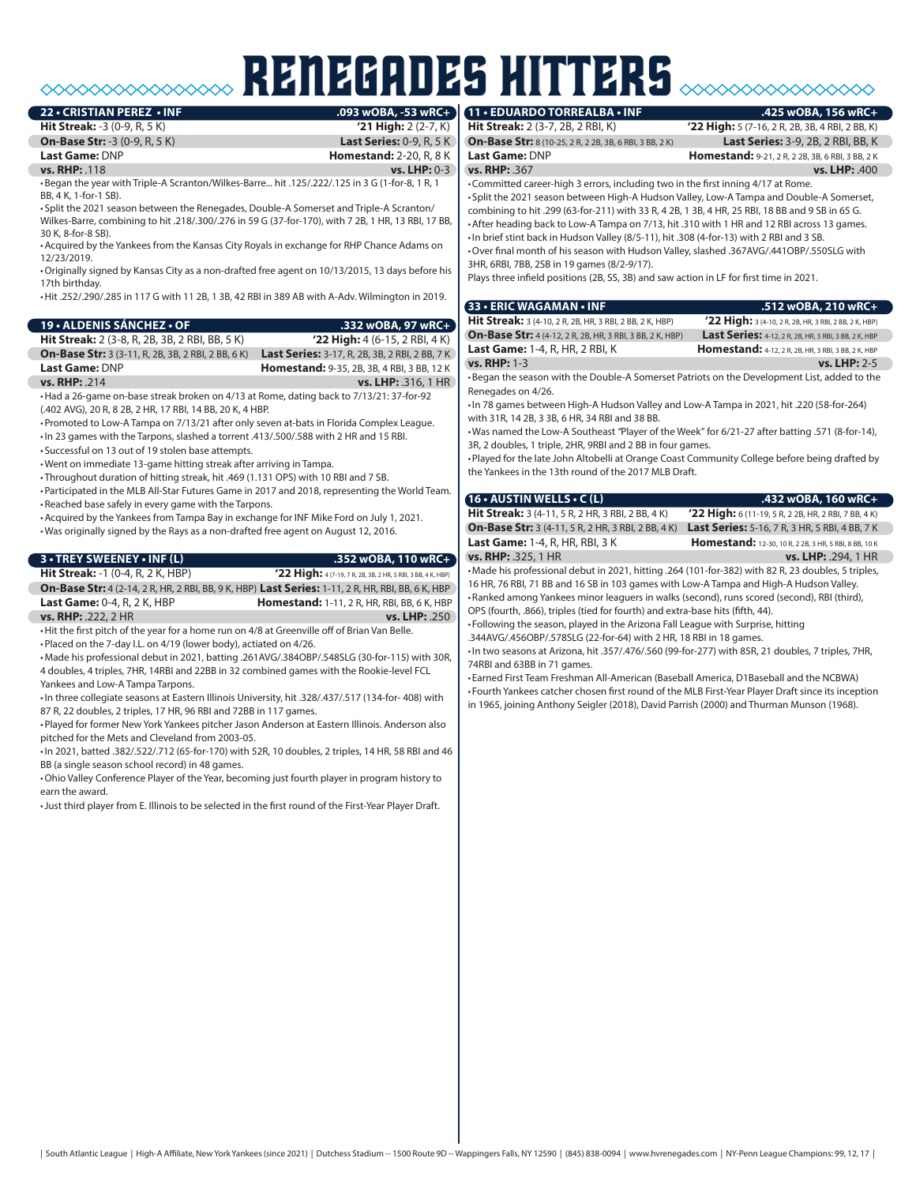## renegades hitters **125 wOBA, 156**

**22 • CRISTIAN PEREZ • INF .093 wOBA, -53 wRC+**

**Hit Streak: -3 (0-9, R, 5 K) On-Base Str:** -3 (0-9, R, 5 K) **Last Series:** 0-9, R, 5 K **Last Game: DNP <b>Homestand:** 2-20, R, 8 K

**vs. RHP:** .118 **vs. LHP:** 0-3 •Began the year with Triple-A Scranton/Wilkes-Barre... hit .125/.222/.125 in 3 G (1-for-8, 1 R, 1 BB, 4 K, 1-for-1 SB).

• Split the 2021 season between the Renegades, Double-A Somerset and Triple-A Scranton/ Wilkes-Barre, combining to hit .218/.300/.276 in 59 G (37-for-170), with 7 2B, 1 HR, 13 RBI, 17 BB, 30 K, 8-for-8 SB).

•Acquired by the Yankees from the Kansas City Royals in exchange for RHP Chance Adams on 12/23/2019.

•Originally signed by Kansas City as a non-drafted free agent on 10/13/2015, 13 days before his 17th birthday.

•Hit .252/.290/.285 in 117 G with 11 2B, 1 3B, 42 RBI in 389 AB with A-Adv. Wilmington in 2019.

| 19 • ALDENIS SÁNCHEZ • OF                                 | .332 wOBA, 97 wRC+                                    |
|-----------------------------------------------------------|-------------------------------------------------------|
| <b>Hit Streak:</b> 2 (3-8, R, 2B, 3B, 2 RBI, BB, 5 K)     | $'22$ High: 4 (6-15, 2 RBI, 4 K)                      |
| <b>On-Base Str:</b> 3 (3-11, R, 2B, 3B, 2 RBI, 2 BB, 6 K) | <b>Last Series:</b> 3-17, R, 2B, 3B, 2 RBI, 2 BB, 7 K |
| Last Game: DNP                                            | <b>Homestand: 9-35, 2B, 3B, 4 RBI, 3 BB, 12 K</b>     |
| $vs.$ RHP: 214                                            | vs. I H P: 316 1 HR                                   |

•Had a 26-game on-base streak broken on 4/13 at Rome, dating back to 7/13/21: 37-for-92 (.402 AVG), 20 R, 8 2B, 2 HR, 17 RBI, 14 BB, 20 K, 4 HBP.

•Promoted to Low-A Tampa on 7/13/21 after only seven at-bats in Florida Complex League.

•In 23 games with the Tarpons, slashed a torrent .413/.500/.588 with 2 HR and 15 RBI.

• Successful on 13 out of 19 stolen base attempts.

•Went on immediate 13-game hitting streak after arriving in Tampa.

• Throughout duration of hitting streak, hit .469 (1.131 OPS) with 10 RBI and 7 SB. •Participated in the MLB All-Star Futures Game in 2017 and 2018, representing the World Team.

•Reached base safely in every game with the Tarpons.

•Acquired by the Yankees from Tampa Bay in exchange for INF Mike Ford on July 1, 2021.

•Was originally signed by the Rays as a non-drafted free agent on August 12, 2016.

#### **3 • TREY SWEENEY • INF (L) .352 wOBA, 110 wRC+**

**Hit Streak:** -1 (0-4, R, 2 K, HBP) **'22 High:** 4 (7-19, 7 R, 2B, 3B, 2 HR, 5 RBI, 3 BB, 4 K, HBP) **On-Base Str:** 4 (2-14, 2 R, HR, 2 RBI, BB, 9 K, HBP) **Last Series:** 1-11, 2 R, HR, RBI, BB, 6 K, HBP **Last Game:** 0-4, R, 2 K, HBP **Homestand:** 1-11, 2 R, HR, RBI, BB, 6 K, HBP **vs. RHP:** .222, 2 HR **vs. LHP:** .250

•Hit the first pitch of the year for a home run on 4/8 at Greenville off of Brian Van Belle. •Placed on the 7-day I.L. on 4/19 (lower body), actiated on 4/26.

•Made his professional debut in 2021, batting .261AVG/.384OBP/.548SLG (30-for-115) with 30R, 4 doubles, 4 triples, 7HR, 14RBI and 22BB in 32 combined games with the Rookie-level FCL Yankees and Low-A Tampa Tarpons.

•In three collegiate seasons at Eastern Illinois University, hit .328/.437/.517 (134-for- 408) with 87 R, 22 doubles, 2 triples, 17 HR, 96 RBI and 72BB in 117 games.

•Played for former New York Yankees pitcher Jason Anderson at Eastern Illinois. Anderson also pitched for the Mets and Cleveland from 2003-05.

•In 2021, batted .382/.522/.712 (65-for-170) with 52R, 10 doubles, 2 triples, 14 HR, 58 RBI and 46 BB (a single season school record) in 48 games.

•Ohio Valley Conference Player of the Year, becoming just fourth player in program history to earn the award.

•Just third player from E. Illinois to be selected in the first round of the First-Year Player Draft.

**On-Base Str:** 8 (10-25, 2 R, 2 2B, 3B, 6 RBI, 3 BB, 2 K) **Last Series:** 3-9, 2B, 2 RBI, BB, K

**Hit Streak:** 2 (3-7, 2B, 2 RBI, K) **'22 High:** 5 (7-16, 2 R, 2B, 3B, 4 RBI, 2 BB, K) **Last Game:** DNP **Homestand:** 9-21, 2 R, 2 2B, 3B, 6 RBI, 3 BB, 2 K **vs. RHP:** .367 **vs. LHP:** .400

•Committed career-high 3 errors, including two in the first inning 4/17 at Rome. • Split the 2021 season between High-A Hudson Valley, Low-A Tampa and Double-A Somerset, combining to hit .299 (63-for-211) with 33 R, 4 2B, 1 3B, 4 HR, 25 RBI, 18 BB and 9 SB in 65 G. •After heading back to Low-A Tampa on 7/13, hit .310 with 1 HR and 12 RBI across 13 games. •In brief stint back in Hudson Valley (8/5-11), hit .308 (4-for-13) with 2 RBI and 3 SB. •Over final month of his season with Hudson Valley, slashed .367AVG/.441OBP/.550SLG with 3HR, 6RBI, 7BB, 2SB in 19 games (8/2-9/17).

Plays three infield positions (2B, SS, 3B) and saw action in LF for first time in 2021.

| 33 • ERIC WAGAMAN • INF                                                                      | .512 wOBA, 210 wRC+                                        |
|----------------------------------------------------------------------------------------------|------------------------------------------------------------|
| Hit Streak: 3 (4-10, 2 R, 2B, HR, 3 RBI, 2 BB, 2 K, HBP)                                     | '22 High: 3 (4-10, 2 R, 2B, HR, 3 RBI, 2 BB, 2 K, HBP)     |
| <b>On-Base Str:</b> 4 (4-12, 2 R, 2B, HR, 3 RBI, 3 BB, 2 K, HBP)                             | Last Series: 4-12, 2 R, 2B, HR, 3 RBI, 3 BB, 2 K, HBP      |
| <b>Last Game: 1-4, R, HR, 2 RBI, K</b>                                                       | <b>Homestand:</b> 4-12, 2 R, 2B, HR, 3 RBI, 3 BB, 2 K, HBP |
| <b>vs. RHP: 1-3</b>                                                                          | $vs.$ LHP: 2-5                                             |
| . Began the season with the Double-A Somerset Patriots on the Development List, added to the |                                                            |

Renegades on 4/26. •In 78 games between High-A Hudson Valley and Low-A Tampa in 2021, hit .220 (58-for-264) with 31R, 14 2B, 3 3B, 6 HR, 34 RBI and 38 BB.

•Was named the Low-A Southeast *"*Player of the Week" for 6/21-27 after batting .571 (8-for-14), 3R, 2 doubles, 1 triple, 2HR, 9RBI and 2 BB in four games.

•Played for the late John Altobelli at Orange Coast Community College before being drafted by the Yankees in the 13th round of the 2017 MLB Draft.

#### **16 • AUSTIN WELLS • C (L) .432 wOBA, 160 wRC+ Hit Streak:** 3 (4-11, 5 R, 2 HR, 3 RBI, 2 BB, 4 K) **'22 High:** 6 (11-19, 5 R, 2 2B, HR, 2 RBI, 7 BB, 4 K) **On-Base Str:** 3 (4-11, 5 R, 2 HR, 3 RBI, 2 BB, 4 K) **Last Series:** 5-16, 7 R, 3 HR, 5 RBI, 4 BB, 7 K **Last Game:** 1-4, R, HR, RBI, 3 K **Homestand:** 12-30, 10 R, 2 2B, 3 HR, 5 RB, 8 BB, 10 K

**vs. RHP:** .325, 1 HR **vs. LHP:** .294, 1 HR •Made his professional debut in 2021, hitting .264 (101-for-382) with 82 R, 23 doubles, 5 triples, 16 HR, 76 RBI, 71 BB and 16 SB in 103 games with Low-A Tampa and High-A Hudson Valley. •Ranked among Yankees minor leaguers in walks (second), runs scored (second), RBI (third),

OPS (fourth, .866), triples (tied for fourth) and extra-base hits (fifth, 44).

• Following the season, played in the Arizona Fall League with Surprise, hitting .344AVG/.456OBP/.578SLG (22-for-64) with 2 HR, 18 RBI in 18 games.

•In two seasons at Arizona, hit .357/.476/.560 (99-for-277) with 85R, 21 doubles, 7 triples, 7HR, 74RBI and 63BB in 71 games.

• Earned First Team Freshman All-American (Baseball America, D1Baseball and the NCBWA) • Fourth Yankees catcher chosen first round of the MLB First-Year Player Draft since its inception in 1965, joining Anthony Seigler (2018), David Parrish (2000) and Thurman Munson (1968).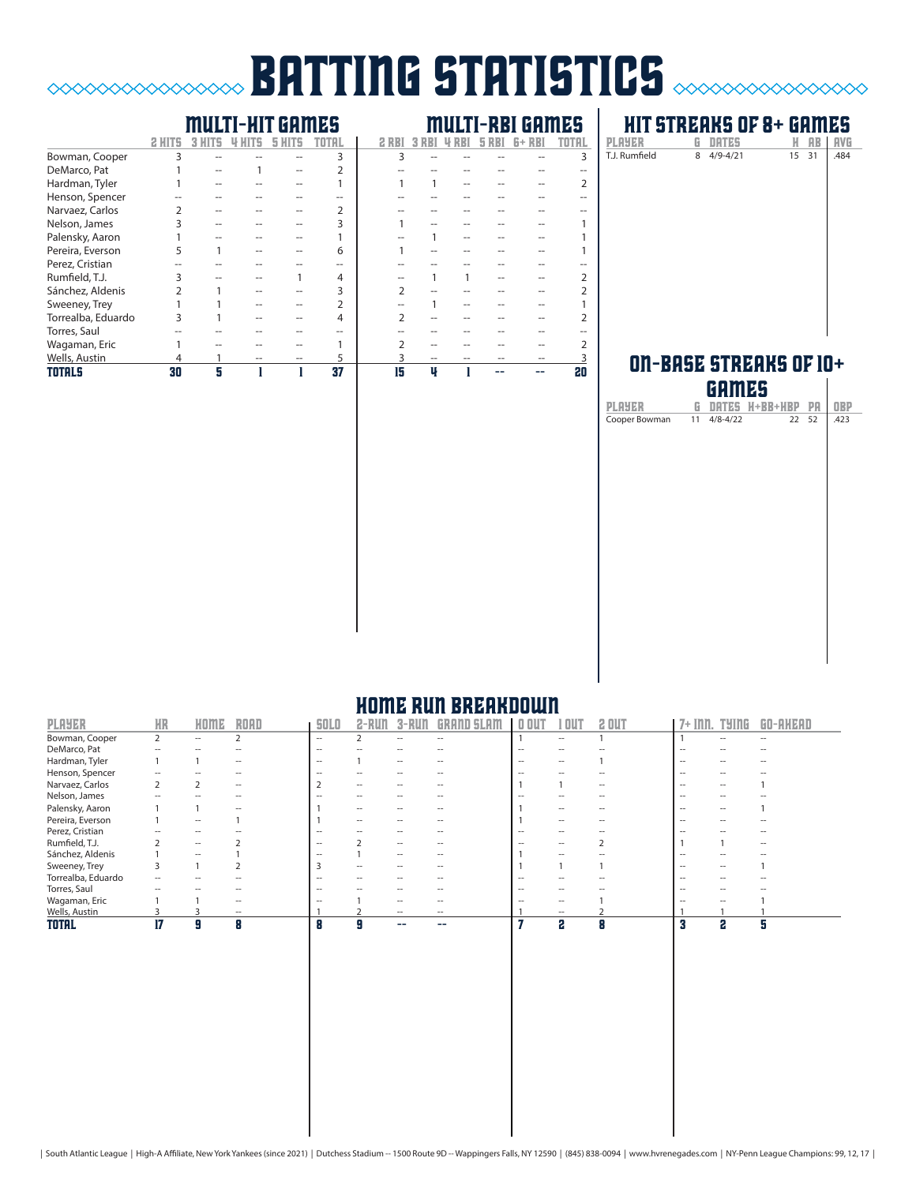### **batting statistics** *station*  $\infty$

### multi-hit games multi-rbi games

|                    | 2 H |   |  |                |    |   |  |    |
|--------------------|-----|---|--|----------------|----|---|--|----|
| Bowman, Cooper     | 3   |   |  | 3              | 3  |   |  | 3  |
| DeMarco, Pat       |     |   |  |                |    |   |  |    |
| Hardman, Tyler     |     |   |  |                |    |   |  |    |
| Henson, Spencer    |     |   |  |                |    |   |  |    |
| Narvaez, Carlos    |     |   |  |                |    |   |  |    |
| Nelson, James      |     |   |  | 3              |    |   |  |    |
| Palensky, Aaron    |     |   |  |                |    |   |  |    |
| Pereira, Everson   |     |   |  | 6              |    |   |  |    |
| Perez, Cristian    |     |   |  | --             |    |   |  |    |
| Rumfield, T.J.     |     |   |  | 4              |    |   |  |    |
| Sánchez, Aldenis   |     |   |  |                |    |   |  |    |
| Sweeney, Trey      |     |   |  | $\overline{2}$ |    |   |  |    |
| Torrealba, Eduardo |     |   |  | 4              |    |   |  |    |
| Torres, Saul       |     |   |  |                |    |   |  |    |
| Wagaman, Eric      |     |   |  |                |    |   |  |    |
| Wells, Austin      | 4   |   |  | 5              |    |   |  |    |
| <b>TOTALS</b>      | 30  | 5 |  | 37             | 15 | ų |  | 20 |

### **HIT STREAKS OF 8+ GAMES**<br>PLAYER G DATES H AB | AVG **PLAYER G DATES H AB AVG**<br>T.J. Rumfield 8 4/9-4/21 15 31 484  $8 \quad 4/9 - 4/21$

#### ON-BASE STREAKS OF  $10+$ games

|                           |   | ишша |                   |    |            |
|---------------------------|---|------|-------------------|----|------------|
| PLAYER                    | G |      | DATES H+BB+HBP PA |    | <b>OBP</b> |
| Cooper Bowman 11 4/8-4/22 |   |      | 22                | 52 | .423       |
|                           |   |      |                   |    |            |
|                           |   |      |                   |    |            |
|                           |   |      |                   |    |            |
|                           |   |      |                   |    |            |
|                           |   |      |                   |    |            |
|                           |   |      |                   |    |            |
|                           |   |      |                   |    |            |
|                           |   |      |                   |    |            |
|                           |   |      |                   |    |            |
|                           |   |      |                   |    |            |
|                           |   |      |                   |    |            |
|                           |   |      |                   |    |            |
|                           |   |      |                   |    |            |
|                           |   |      |                   |    |            |
|                           |   |      |                   |    |            |
|                           |   |      |                   |    |            |
|                           |   |      |                   |    |            |
|                           |   |      |                   |    |            |

#### home run breakdown

| <b>PLAYER</b>      | <b>HR</b> | HOME | ROAD                     | <b>SOLO</b>              | $2 - R$ un               | $3 - RUI$ | <b>GRAND SLAM</b>        | $0$ OUT | 1 OU 1            | 2 OUT | 7+ Inn.           | <b>TYING</b> | GO-AHEAD          |
|--------------------|-----------|------|--------------------------|--------------------------|--------------------------|-----------|--------------------------|---------|-------------------|-------|-------------------|--------------|-------------------|
| Bowman, Cooper     | 2         | $ -$ |                          | --                       |                          | --        | $\overline{\phantom{a}}$ |         | $ -$              |       |                   |              | --                |
| DeMarco, Pat       |           |      |                          | $\overline{\phantom{a}}$ |                          |           |                          |         |                   |       |                   |              |                   |
| Hardman, Tyler     |           |      | $\overline{\phantom{a}}$ | $\hspace{0.05cm} -$      |                          | $ -$      | $\overline{\phantom{a}}$ | --      | $ -$              |       | $\hspace{0.05cm}$ |              |                   |
| Henson, Spencer    |           |      |                          | $\overline{\phantom{a}}$ |                          |           |                          |         |                   |       | --                |              |                   |
| Narvaez, Carlos    |           |      | $\overline{\phantom{a}}$ |                          | $\hspace{0.05cm}$        |           |                          |         |                   | --    | --                |              |                   |
| Nelson, James      |           |      |                          | --                       |                          |           |                          |         |                   |       | $\sim$            |              |                   |
| Palensky, Aaron    |           |      | $\overline{\phantom{a}}$ |                          | $-$                      | --        | $\overline{\phantom{a}}$ |         | $ -$              | --    | $ -$              |              |                   |
| Pereira, Everson   |           | --   |                          |                          | $\overline{\phantom{a}}$ |           |                          |         | $\hspace{0.05cm}$ |       | $\hspace{0.05cm}$ |              |                   |
| Perez, Cristian    |           |      |                          | $\sim$                   |                          |           |                          | --      |                   |       | --                |              |                   |
| Rumfield, T.J.     |           | $ -$ |                          | $\hspace{0.05cm} -$      |                          | $-$       | $\overline{\phantom{a}}$ | --      | $- -$             |       |                   |              | $\hspace{0.05cm}$ |
| Sánchez, Aldenis   |           | --   |                          | $\hspace{0.05cm}$        |                          | $ -$      | $\overline{\phantom{a}}$ |         | $ -$              |       | $\hspace{0.05cm}$ |              |                   |
| Sweeney, Trey      |           |      |                          |                          | $- -$                    |           |                          |         |                   |       | $\hspace{0.05cm}$ |              |                   |
| Torrealba, Eduardo |           |      |                          | $\overline{\phantom{a}}$ |                          |           |                          | -       |                   |       | --                |              |                   |
| Torres, Saul       |           |      |                          | $\sim$                   |                          |           |                          | --      |                   |       | --                |              |                   |
| Wagaman, Eric      |           |      | $\overline{\phantom{a}}$ | $\overline{\phantom{a}}$ |                          | $- -$     | $\overline{\phantom{a}}$ | $\sim$  | $ -$              |       | --                |              |                   |
| Wells, Austin      |           |      | $ -$                     |                          |                          | $ -$      | $ -$                     |         | $\hspace{0.05cm}$ |       |                   |              |                   |
| <b>TOTAL</b>       | 17        | Я    | Я                        | o                        |                          | --        |                          |         | 2                 | Я     | Я                 | 2            | 5                 |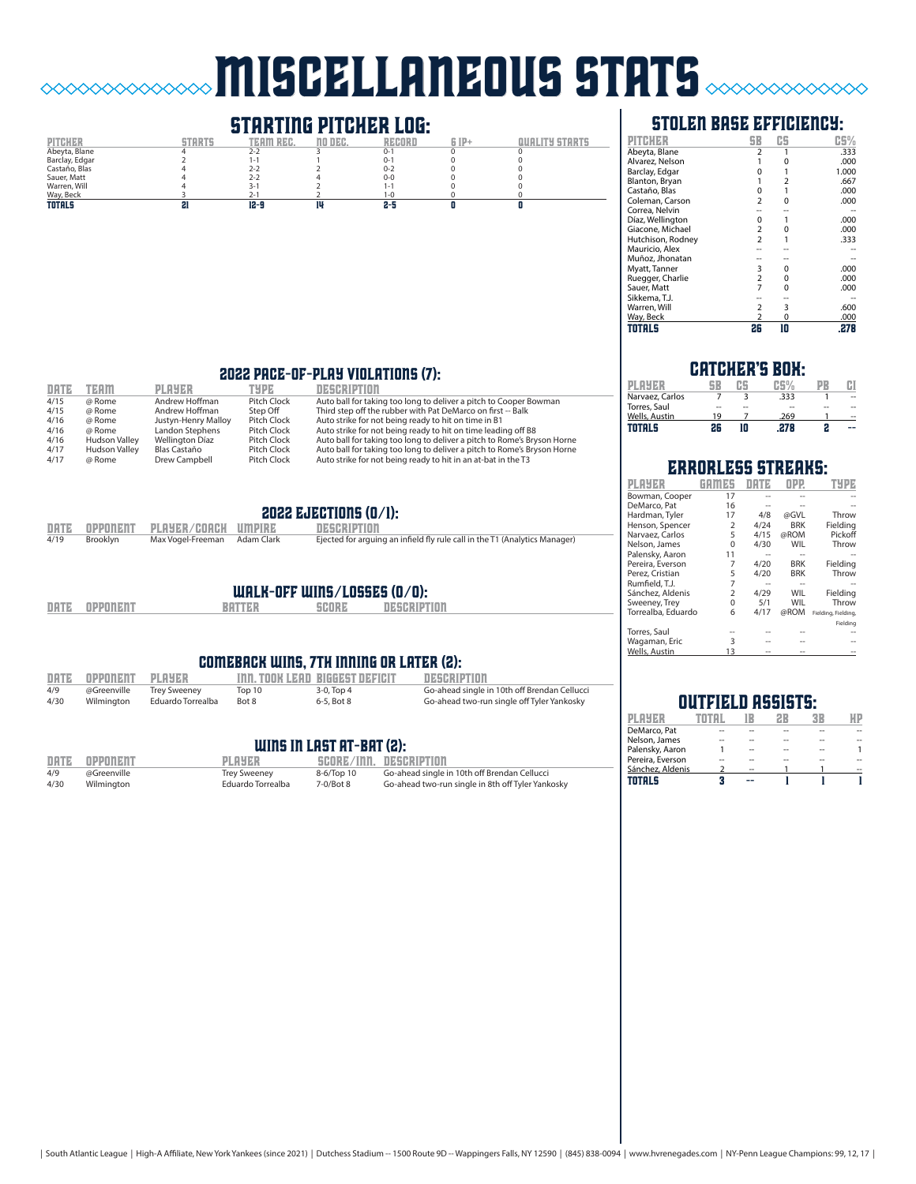# miscellaneous stats

## **STARTING PITCHER LOG:**<br>TEAM REC. NO DEC. RECORD



#### stolen base efficiency:

| PITCH             | SB             | CS       | CS%   |
|-------------------|----------------|----------|-------|
| Abeyta, Blane     | 2              |          | .333  |
| Alvarez, Nelson   |                | 0        | .000  |
| Barclay, Edgar    | $\Omega$       |          | 1.000 |
| Blanton, Bryan    | 1              | 2        | .667  |
| Castaño, Blas     | 0              |          | .000  |
| Coleman, Carson   | $\overline{2}$ | 0        | .000  |
| Correa, Nelvin    |                |          |       |
| Díaz, Wellington  | 0              |          | .000  |
| Giacone, Michael  | $\overline{2}$ | O        | .000  |
| Hutchison, Rodney | $\overline{2}$ |          | .333  |
| Mauricio, Alex    |                |          |       |
| Muñoz, Jhonatan   |                |          |       |
| Myatt, Tanner     | 3              | 0        | .000  |
| Ruegger, Charlie  | $\overline{2}$ | 0        | .000  |
| Sauer, Matt       | $\overline{7}$ | $\Omega$ | .000  |
| Sikkema, T.J.     |                |          |       |
| Warren, Will      | $\overline{2}$ | 3        | .600  |
| Way, Beck         | $\overline{2}$ | $\Omega$ | .000  |
| TOTALS            | 26             | 10       | .278  |

#### 2022 pace-of-play violations (7):

| DATE | <b>TEAM</b>          | <b>PLAYER</b>       | TYPE        | DESCRIPTION                                                             |
|------|----------------------|---------------------|-------------|-------------------------------------------------------------------------|
| 4/15 | @ Rome               | Andrew Hoffman      | Pitch Clock | Auto ball for taking too long to deliver a pitch to Cooper Bowman       |
| 4/15 | @ Rome               | Andrew Hoffman      | Step Off    | Third step off the rubber with Pat DeMarco on first -- Balk             |
| 4/16 | @ Rome               | Justyn-Henry Malloy | Pitch Clock | Auto strike for not being ready to hit on time in B1                    |
| 4/16 | @ Rome               | Landon Stephens     | Pitch Clock | Auto strike for not being ready to hit on time leading off B8           |
| 4/16 | <b>Hudson Valley</b> | Wellington Díaz     | Pitch Clock | Auto ball for taking too long to deliver a pitch to Rome's Bryson Horne |
| 4/17 | <b>Hudson Valley</b> | Blas Castaño        | Pitch Clock | Auto ball for taking too long to deliver a pitch to Rome's Bryson Horne |
| 4/17 | @ Rome               | Drew Campbell       | Pitch Clock | Auto strike for not being ready to hit in an at-bat in the T3           |

#### 2022 EJECTIONS  $(0/1)$ :

| 4/19 | Brooklyn | Max Vogel-Freeman Adam Clark      | Ejected for arguing an infield fly rule call in the T1 (Analytics Manager) |
|------|----------|-----------------------------------|----------------------------------------------------------------------------|
|      |          | DATE OPPONENT PLAYER/COACH UMPIRE | DESCRIPTION                                                                |

## walk-off wins/losses (0/0):

| <b>DATE</b> | <b>OPPONENT</b> |  |
|-------------|-----------------|--|

 $\Diamond \Diamond \Diamond \Diamond \Diamond$ 

**DESCRIPTION** 

#### comeback wins, 7th inning or later (2):

|      | DATE OPPONENT PLAYER     |                   |        | <b>THI. TOOK LEAD BIGGEST DEFICIT</b> | DESCRIPTION                                  |
|------|--------------------------|-------------------|--------|---------------------------------------|----------------------------------------------|
| 4/9  | @Greenville Trey Sweeney |                   | Top 10 | 3-0. Top 4                            | Go-ahead single in 10th off Brendan Cellucci |
| 4/30 | Wilmington               | Eduardo Torrealba | Bot 8  | 6-5. Bot 8                            | Go-ahead two-run single off Tyler Yankosky   |

#### WINS IN LAST AT-BAT (2):

| DATE | <b>OPPONENT</b> | <b>PLAYER</b>       |            | SCORE/INN. DESCRIPTION                            |
|------|-----------------|---------------------|------------|---------------------------------------------------|
| 4/9  | @Greenville     | <b>Trey Sweeney</b> | 8-6/Top 10 | Go-ahead single in 10th off Brendan Cellucci      |
| 4/30 | Wilmington      | Eduardo Torrealba   | 7-0/Bot 8  | Go-ahead two-run single in 8th off Tyler Yankosky |

#### catcher's box:

| PI AYER         |    |    | C G Y |    |    |
|-----------------|----|----|-------|----|----|
| Narvaez, Carlos |    |    | .333  |    | -- |
| Torres, Saul    | -- | -- |       | -- | -- |
| Wells, Austin   | 19 |    | .269  |    |    |
| TOTALS          | 26 | חו | 27R   | 2  |    |

|                    |                         | IRLESS STREA |                 |                     |
|--------------------|-------------------------|--------------|-----------------|---------------------|
| PLAYER             |                         | <b>DRTE</b>  | $_{\text{DPP}}$ | TYI                 |
| Bowman, Cooper     | 17                      |              |                 |                     |
| DeMarco, Pat       | 16                      |              |                 |                     |
| Hardman, Tyler     | 17                      | 4/8          | @GVL            | Throw               |
| Henson, Spencer    | $\overline{\mathbf{c}}$ | 4/24         | <b>BRK</b>      | Fielding            |
| Narvaez, Carlos    | 5                       | 4/15         | @ROM            | Pickoff             |
| Nelson, James      | $\Omega$                | 4/30         | WIL             | Throw               |
| Palensky, Aaron    | 11                      |              |                 |                     |
| Pereira, Everson   | 7                       | 4/20         | <b>BRK</b>      | Fielding            |
| Perez. Cristian    | 5                       | 4/20         | <b>BRK</b>      | Throw               |
| Rumfield, T.J.     | $\overline{7}$          |              |                 |                     |
| Sánchez, Aldenis   | $\overline{\mathbf{c}}$ | 4/29         | WIL             | Fielding            |
| Sweeney, Trey      | $\Omega$                | 5/1          | WIL             | Throw               |
| Torrealba, Eduardo | 6                       | 4/17         | @ROM            | Fielding, Fielding, |
|                    |                         |              |                 | Fielding            |
| Torres, Saul       |                         |              |                 |                     |
| Wagaman, Eric      | ξ                       |              |                 |                     |
| Wells, Austin      | 13                      |              |                 |                     |

#### outfield assists:

| DeMarco. Pat     |    |    |  |
|------------------|----|----|--|
| Nelson, James    |    | -- |  |
| Palensky, Aaron  | -- | -- |  |
| Pereira, Everson |    |    |  |
| Sánchez, Aldenis |    |    |  |
| TOTALS           |    |    |  |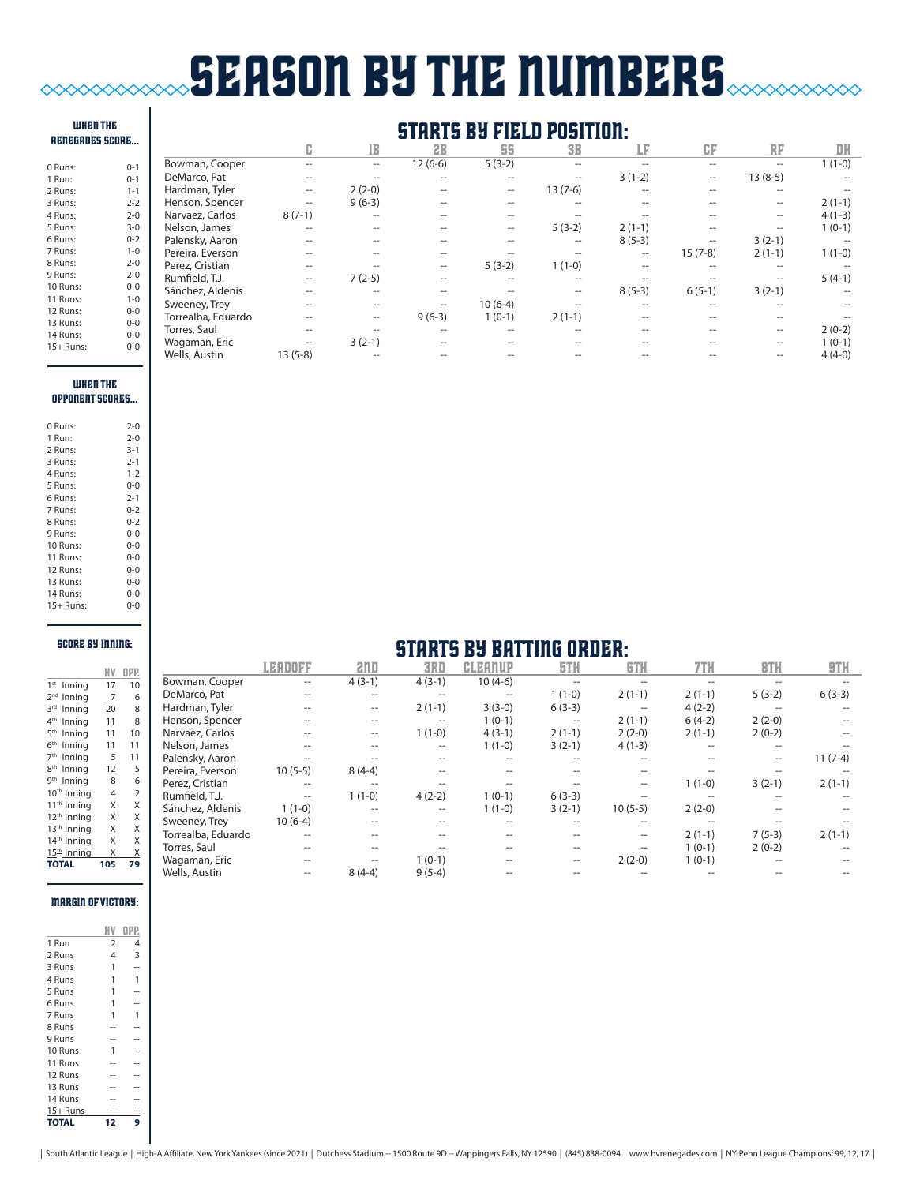## **SEASON BY THE NUMBERS**  $\mathbf{I}$

| <b>WHEN THE</b><br><b>RENEGADES SCORE</b> |         | <b>STARTS BY</b><br><b>FIELD POSITION:</b> |                     |                   |                   |           |                   |          |                   |           |                          |
|-------------------------------------------|---------|--------------------------------------------|---------------------|-------------------|-------------------|-----------|-------------------|----------|-------------------|-----------|--------------------------|
|                                           |         |                                            | c                   | 1B                | 2B                | 55        | <b>3B</b>         | LF       | CF                | RF        | DH                       |
| 0 Runs:                                   | $0 - 1$ | Bowman, Cooper                             | --                  | $\hspace{0.05cm}$ | $12(6-6)$         | $5(3-2)$  |                   |          | $- -$             | --        | $1(1-0)$                 |
| 1 Run:                                    | $0 - 1$ | DeMarco, Pat                               | --                  |                   |                   |           | --                | $3(1-2)$ | $\hspace{0.05cm}$ | $13(8-5)$ | --                       |
| 2 Runs:                                   | $1 - 1$ | Hardman, Tyler                             | $\hspace{0.05cm} -$ | $2(2-0)$          | --                | $\sim$    | $13(7-6)$         | --       | $- -$             | --        | --                       |
| 3 Runs:                                   | $2 - 2$ | Henson, Spencer                            | $\hspace{0.05cm} -$ | $9(6-3)$          |                   | --        |                   | --       | $- -$             | --        | $2(1-1)$                 |
| 4 Runs:                                   | $2 - 0$ | Narvaez, Carlos                            | $8(7-1)$            | $-$               | --                |           |                   |          |                   | --        | $4(1-3)$                 |
| 5 Runs:                                   | $3 - 0$ | Nelson, James                              | $-$                 | $\hspace{0.05cm}$ | --                | $\sim$    | $5(3-2)$          | $2(1-1)$ | $- -$             | --        | $1(0-1)$                 |
| 6 Runs:                                   | $0 - 2$ | Palensky, Aaron                            | $- -$               | $- -$             | --                | $-$       | $\hspace{0.05cm}$ | $8(5-3)$ | $- -$             | $3(2-1)$  | --                       |
| 7 Runs:                                   | $1 - 0$ | Pereira, Everson                           | --                  | --                |                   |           |                   | --       | $15(7-8)$         | $2(1-1)$  | $1(1-0)$                 |
| 8 Runs:                                   | $2 - 0$ | Perez, Cristian                            | $\hspace{0.05cm}$   |                   | $\hspace{0.05cm}$ | $5(3-2)$  | $1(1-0)$          | --       | $-$               | --        | --                       |
| 9 Runs:                                   | $2 - 0$ | Rumfield, T.J.                             | $\hspace{0.05cm}$   | $7(2-5)$          | $-$               |           |                   |          |                   | --        | $5(4-1)$                 |
| 10 Runs:                                  | $0-0$   | Sánchez, Aldenis                           | --                  | $-$               | --                |           | $\hspace{0.05cm}$ | $8(5-3)$ | $6(5-1)$          | $3(2-1)$  | $\overline{\phantom{a}}$ |
| 11 Runs:                                  | $1 - 0$ | Sweeney, Trey                              |                     | $-$               | --                | $10(6-4)$ |                   |          |                   |           | --                       |
| 12 Runs:                                  | $0 - 0$ | Torrealba, Eduardo                         |                     | $\hspace{0.05cm}$ | $9(6-3)$          | $1(0-1)$  | $2(1-1)$          |          |                   |           |                          |
| 13 Runs:                                  | $0-0$   | Torres, Saul                               | $- -$               |                   |                   |           |                   |          |                   | --        | $2(0-2)$                 |
| 14 Runs:                                  | $0-0$   | Wagaman, Eric                              | $\hspace{0.05cm}$   | $3(2-1)$          |                   |           |                   |          |                   | --        | $1(0-1)$                 |
| $15+$ Runs:                               | $0-0$   | Wells, Austin                              | $13(5-8)$           |                   |                   |           |                   |          |                   | --        | $4(4-0)$                 |

#### when THE oppONENT scores...

| 0 Runs:   | $2 - 0$ |
|-----------|---------|
| 1 Run:    | $2 - 0$ |
| 2 Runs:   | $3 - 1$ |
| 3 Runs:   | $2 - 1$ |
| 4 Runs:   | $1 - 2$ |
| 5 Runs:   | $0 - 0$ |
| 6 Runs:   | $2 - 1$ |
| 7 Runs:   | $0 - 2$ |
| 8 Runs:   | $0 - 2$ |
| 9 Runs:   | $0 - 0$ |
| 10 Runs:  | $0 - 0$ |
| 11 Runs:  | $0 - 0$ |
| 12 Runs:  | $0 - 0$ |
| 13 Runs:  | $0 - 0$ |
| 14 Runs:  | $0 - 0$ |
| 15+ Runs: | $0 - 0$ |

#### score by inning:

|                            | ИV  | OPP.           |
|----------------------------|-----|----------------|
| 1 <sup>st</sup><br>Inning  | 17  | 10             |
| 2 <sub>nd</sub><br>Inning  | 7   | 6              |
| 2rd<br>Inning              | 20  | 8              |
| 4 <sup>th</sup><br>Inning  | 11  | 8              |
| 5 <sup>th</sup><br>Inning  | 11  | 10             |
| 6 <sup>th</sup><br>Inning  | 11  | 11             |
| 7 <sup>th</sup><br>Inning  | 5   | 11             |
| 8 <sup>th</sup><br>Inning  | 12  | 5              |
| <b>gth</b><br>Inning       | 8   | 6              |
| 10 <sup>th</sup><br>Inning | 4   | $\overline{2}$ |
| 11 <sup>th</sup> Inning    | X   | X              |
| 12 <sup>th</sup> Inning    | X   | X              |
| 13 <sup>th</sup> Inning    | X   | X              |
| 14 <sup>th</sup> Inning    | Χ   | X              |
| 15 <sup>th</sup> Inning    | Χ   | Χ              |
| <b>TOTAL</b>               | 105 | 79             |
|                            |     |                |

#### margin of victory:

| 1 Run        | $\overline{\mathbf{c}}$ | 4 |
|--------------|-------------------------|---|
| 2 Runs       | 4                       | 3 |
| 3 Runs       | 1                       |   |
| 4 Runs       | 1                       | 1 |
| 5 Runs       | 1                       |   |
| 6 Runs       | 1                       |   |
| 7 Runs       | 1                       | 1 |
| 8 Runs       |                         |   |
| 9 Runs       |                         |   |
| 10 Runs      | 1                       |   |
| 11 Runs      |                         |   |
| 12 Runs      |                         |   |
| 13 Runs      |                         |   |
| 14 Runs      |                         |   |
| $15+$ Runs   |                         |   |
| <b>TOTAL</b> | 12                      | g |

#### starts by batting order:

|                    |                          |                   |          |                |          | unuum             |          |          |           |
|--------------------|--------------------------|-------------------|----------|----------------|----------|-------------------|----------|----------|-----------|
|                    | LEADOFF                  | 2 <sub>n</sub>    | 3RD      | <b>CLEANUP</b> | 5TH      | <b>GTH</b>        | 7TH      | 8TH      | 9TH       |
| Bowman, Cooper     | $-$                      | $4(3-1)$          | $4(3-1)$ | $10(4-6)$      |          |                   |          |          |           |
| DeMarco, Pat       |                          |                   | $- -$    |                | $1(1-0)$ | $2(1-1)$          | $2(1-1)$ | $5(3-2)$ | $6(3-3)$  |
| Hardman, Tyler     |                          | $- -$             | $2(1-1)$ | $3(3-0)$       | $6(3-3)$ | $- -$             | $4(2-2)$ |          |           |
| Henson, Spencer    |                          | $- -$             | $- -$    | $1(0-1)$       | $- -$    | $2(1-1)$          | $6(4-2)$ | $2(2-0)$ |           |
| Narvaez, Carlos    |                          | $\hspace{0.05cm}$ | $1(1-0)$ | $4(3-1)$       | $2(1-1)$ | $2(2-0)$          | $2(1-1)$ | $2(0-2)$ |           |
| Nelson, James      |                          |                   | $- -$    | $1(1-0)$       | $3(2-1)$ | $4(1-3)$          |          |          |           |
| Palensky, Aaron    |                          |                   |          |                |          |                   |          |          | $11(7-4)$ |
| Pereira, Everson   | $10(5-5)$                | $8(4-4)$          |          |                |          |                   |          |          |           |
| Perez, Cristian    |                          |                   |          |                |          |                   | $1(1-0)$ | $3(2-1)$ | $2(1-1)$  |
| Rumfield, T.J.     | $- -$                    | $1(1-0)$          | $4(2-2)$ | $1(0-1)$       | $6(3-3)$ |                   |          |          |           |
| Sánchez, Aldenis   | $1(1-0)$                 |                   | $- -$    | $1(1-0)$       | $3(2-1)$ | $10(5-5)$         | $2(2-0)$ |          |           |
| Sweeney, Trey      | $10(6-4)$                |                   |          |                |          |                   |          |          |           |
| Torrealba, Eduardo | $\overline{\phantom{a}}$ |                   |          |                |          | $\qquad \qquad -$ | $2(1-1)$ | $7(5-3)$ | $2(1-1)$  |
| Torres, Saul       |                          |                   |          |                |          |                   | $1(0-1)$ | $2(0-2)$ |           |
| Wagaman, Eric      |                          |                   | $1(0-1)$ |                | --       | $2(2-0)$          | $1(0-1)$ |          |           |
| Wells, Austin      |                          | $8(4-4)$          | $9(5-4)$ |                |          |                   |          |          |           |
|                    |                          |                   |          |                |          |                   |          |          |           |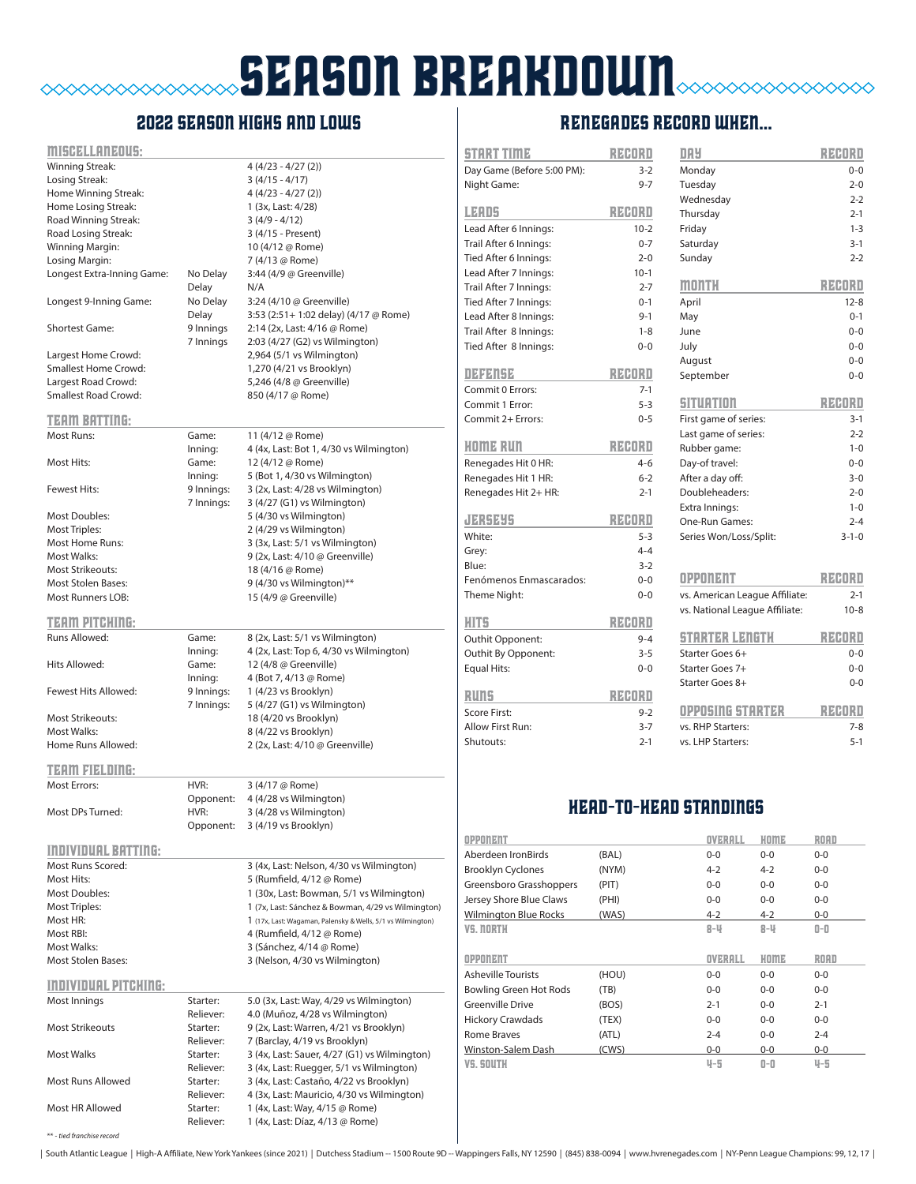## season breakdown  $\Diamond \Diamond \Diamond \Diamond \Diamond \Diamond \Diamond$

### 2022 season highs and lows

| MISCELLANEOUS:              |                       |                                                                                       |
|-----------------------------|-----------------------|---------------------------------------------------------------------------------------|
| Winning Streak:             |                       | $4(4/23 - 4/27(2))$                                                                   |
| Losing Streak:              |                       | $3(4/15 - 4/17)$                                                                      |
| Home Winning Streak:        |                       | $4(4/23 - 4/27(2))$                                                                   |
| Home Losing Streak:         |                       | 1 (3x, Last: 4/28)                                                                    |
| Road Winning Streak:        |                       | $3(4/9 - 4/12)$                                                                       |
| Road Losing Streak:         |                       | 3 (4/15 - Present)                                                                    |
| Winning Margin:             |                       | 10 (4/12 @ Rome)                                                                      |
| Losing Margin:              |                       | 7 (4/13 @ Rome)                                                                       |
| Longest Extra-Inning Game:  | No Delay              | 3:44 (4/9 @ Greenville)                                                               |
|                             | Delay                 | N/A                                                                                   |
| Longest 9-Inning Game:      | No Delay              | 3:24 (4/10 @ Greenville)                                                              |
|                             | Delay                 | 3:53 (2:51+ 1:02 delay) (4/17 @ Rome)                                                 |
| <b>Shortest Game:</b>       | 9 Innings             | 2:14 (2x, Last: 4/16 @ Rome)                                                          |
|                             | 7 Innings             | 2:03 (4/27 (G2) vs Wilmington)                                                        |
| Largest Home Crowd:         |                       | 2,964 (5/1 vs Wilmington)                                                             |
| <b>Smallest Home Crowd:</b> |                       | 1,270 (4/21 vs Brooklyn)                                                              |
| Largest Road Crowd:         |                       | 5,246 (4/8 @ Greenville)                                                              |
| <b>Smallest Road Crowd:</b> |                       | 850 (4/17 @ Rome)                                                                     |
|                             |                       |                                                                                       |
| <b>TEAM BATTING:</b>        |                       |                                                                                       |
| Most Runs:                  | Game:                 | 11 (4/12 @ Rome)                                                                      |
|                             | Inning:               | 4 (4x, Last: Bot 1, 4/30 vs Wilmington)                                               |
| Most Hits:                  | Game:                 | 12 (4/12 @ Rome)                                                                      |
|                             | Inning:               | 5 (Bot 1, 4/30 vs Wilmington)                                                         |
| <b>Fewest Hits:</b>         | 9 Innings:            | 3 (2x, Last: 4/28 vs Wilmington)                                                      |
|                             | 7 Innings:            | 3 (4/27 (G1) vs Wilmington)                                                           |
| <b>Most Doubles:</b>        |                       | 5 (4/30 vs Wilmington)                                                                |
| <b>Most Triples:</b>        |                       | 2 (4/29 vs Wilmington)                                                                |
| Most Home Runs:             |                       | 3 (3x, Last: 5/1 vs Wilmington)                                                       |
| <b>Most Walks:</b>          |                       | 9 (2x, Last: 4/10 @ Greenville)                                                       |
| <b>Most Strikeouts:</b>     |                       | 18 (4/16 @ Rome)                                                                      |
| <b>Most Stolen Bases:</b>   |                       | 9 (4/30 vs Wilmington)**                                                              |
| <b>Most Runners LOB:</b>    |                       | 15 (4/9 @ Greenville)                                                                 |
|                             |                       |                                                                                       |
| TEAM PITCHING:              |                       |                                                                                       |
| Runs Allowed:               | Game:                 | 8 (2x, Last: 5/1 vs Wilmington)                                                       |
|                             | Inning:               | 4 (2x, Last: Top 6, 4/30 vs Wilmington)                                               |
| Hits Allowed:               | Game:                 | 12 (4/8 @ Greenville)                                                                 |
|                             | Inning:               | 4 (Bot 7, 4/13 @ Rome)                                                                |
| Fewest Hits Allowed:        | 9 Innings:            | 1 (4/23 vs Brooklyn)                                                                  |
|                             | 7 Innings:            | 5 (4/27 (G1) vs Wilmington)                                                           |
| <b>Most Strikeouts:</b>     |                       | 18 (4/20 vs Brooklyn)                                                                 |
| Most Walks:                 |                       | 8 (4/22 vs Brooklyn)                                                                  |
| Home Runs Allowed:          |                       | 2 (2x, Last: 4/10 @ Greenville)                                                       |
|                             |                       |                                                                                       |
| <b>TERM FIELDING:</b>       |                       |                                                                                       |
| <b>Most Errors:</b>         | HVR:                  | 3 (4/17 @ Rome)                                                                       |
|                             | Opponent:             | 4 (4/28 vs Wilmington)                                                                |
| Most DPs Turned:            | HVR:                  | 3 (4/28 vs Wilmington)                                                                |
|                             | Opponent:             | 3 (4/19 vs Brooklyn)                                                                  |
| <b>INDIVIDUAL BATTING:</b>  |                       |                                                                                       |
|                             |                       |                                                                                       |
| Most Runs Scored:           |                       | 3 (4x, Last: Nelson, 4/30 vs Wilmington)                                              |
| Most Hits:                  |                       | 5 (Rumfield, 4/12 @ Rome)                                                             |
| <b>Most Doubles:</b>        |                       | 1 (30x, Last: Bowman, 5/1 vs Wilmington)                                              |
| Most Triples:               |                       | 1 (7x, Last: Sánchez & Bowman, 4/29 vs Wilmington)                                    |
| Most HR:                    |                       | 1 (17x, Last: Wagaman, Palensky & Wells, 5/1 vs Wilmington)                           |
| Most RBI:                   |                       | 4 (Rumfield, 4/12 @ Rome)                                                             |
| Most Walks:                 |                       | 3 (Sánchez, 4/14 @ Rome)                                                              |
| <b>Most Stolen Bases:</b>   |                       | 3 (Nelson, 4/30 vs Wilmington)                                                        |
| <b>INDIVIDUAL PITCHING:</b> |                       |                                                                                       |
|                             |                       |                                                                                       |
| Most Innings                | Starter:<br>Reliever: | 5.0 (3x, Last: Way, 4/29 vs Wilmington)                                               |
| <b>Most Strikeouts</b>      | Starter:              | 4.0 (Muñoz, 4/28 vs Wilmington)                                                       |
|                             |                       | 9 (2x, Last: Warren, 4/21 vs Brooklyn)                                                |
| <b>Most Walks</b>           | Reliever:             | 7 (Barclay, 4/19 vs Brooklyn)                                                         |
|                             | Starter:<br>Reliever: | 3 (4x, Last: Sauer, 4/27 (G1) vs Wilmington)                                          |
| Most Runs Allowed           |                       | 3 (4x, Last: Ruegger, 5/1 vs Wilmington)                                              |
|                             | Starter:<br>Reliever: | 3 (4x, Last: Castaño, 4/22 vs Brooklyn)<br>4 (3x, Last: Mauricio, 4/30 vs Wilmington) |
| Most HR Allowed             | Starter:              | 1 (4x, Last: Way, 4/15 @ Rome)                                                        |
|                             | Reliever:             | 1 (4x, Last: Díaz, 4/13 @ Rome)                                                       |
|                             |                       |                                                                                       |

### RENEGADES record when...

| <b>START TIME</b>          | RECORD  | <b>DAY</b>                     | RZEORO      |
|----------------------------|---------|--------------------------------|-------------|
| Day Game (Before 5:00 PM): | $3 - 2$ | Monday                         | $0 - 0$     |
| Night Game:                | $9 - 7$ | Tuesday                        | $2 - 0$     |
|                            |         | Wednesday                      | $2 - 2$     |
| <b>LEADS</b>               | REDRI   | Thursday                       | $2 - 1$     |
| Lead After 6 Innings:      | $10-2$  | Friday                         | $1 - 3$     |
| Trail After 6 Innings:     | $0 - 7$ | Saturday                       | $3 - 1$     |
| Tied After 6 Innings:      | $2 - 0$ | Sunday                         | $2 - 2$     |
| Lead After 7 Innings:      | $10-1$  |                                |             |
| Trail After 7 Innings:     | $2 - 7$ | month                          | RZEORO      |
| Tied After 7 Innings:      | $0 - 1$ | April                          | $12 - 8$    |
| Lead After 8 Innings:      | $9 - 1$ | May                            | $0 - 1$     |
| Trail After 8 Innings:     | $1 - 8$ | June                           | $0 - 0$     |
| Tied After 8 Innings:      | $0 - 0$ | July                           | $0 - 0$     |
|                            |         | August                         | $0 - 0$     |
| 0414154                    | RECORD  | September                      | $0 - 0$     |
| Commit 0 Errors:           | $7-1$   |                                |             |
| Commit 1 Error:            | $5 - 3$ | <b>SITUATION</b>               | RZEORO      |
| Commit 2+ Errors:          | $0 - 5$ | First game of series:          | $3 - 1$     |
|                            |         | Last game of series:           | $2 - 2$     |
| HOME RUN                   | RZEORO  | Rubber game:                   | $1 - 0$     |
| Renegades Hit 0 HR:        | $4 - 6$ | Day-of travel:                 | $0 - 0$     |
| Renegades Hit 1 HR:        | $6 - 2$ | After a day off:               | $3 - 0$     |
| Renegades Hit 2+ HR:       | $2 - 1$ | Doubleheaders:                 | $2 - 0$     |
|                            |         | Extra Innings:                 | $1 - 0$     |
| JERSEYS                    | RZEORO  | One-Run Games:                 | $2 - 4$     |
| White:                     | $5 - 3$ | Series Won/Loss/Split:         | $3 - 1 - 0$ |
| Grey:                      | $4 - 4$ |                                |             |
| Blue:                      | $3-2$   |                                |             |
| Fenómenos Enmascarados:    | $0 - 0$ | OPPONENT                       | RZEORO      |
| Theme Night:               | $0 - 0$ | vs. American League Affiliate: | $2 - 1$     |
|                            |         | vs. National League Affiliate: | $10 - 8$    |
| HIT5                       | RENDRO  |                                |             |
| Outhit Opponent:           | $9 - 4$ | STARTER LENETH                 | RZEORO      |
| Outhit By Opponent:        | $3 - 5$ | Starter Goes 6+                | $0 - 0$     |
| <b>Equal Hits:</b>         | $0 - 0$ | Starter Goes 7+                | $0 - 0$     |
|                            |         | Starter Goes 8+                | $0 - 0$     |
| RUNS                       | RZEORO  |                                |             |
| Score First:               | $9 - 2$ | OPPOSING STARTER               | RZEORO      |
| Allow First Run:           | $3 - 7$ | vs. RHP Starters:              | $7 - 8$     |
| Shutouts:                  | $2 - 1$ | vs. LHP Starters:              | $5 - 1$     |
|                            |         | <b>HEAD-TO-HEAD STANDINGS</b>  |             |
| <b>OPPONENT</b>            |         | OVERALL<br>HOME                | ROAD        |

| <b>OPPONENT</b>              |       | OVERALL | HOME    | ROAD    |
|------------------------------|-------|---------|---------|---------|
| Aberdeen IronBirds           | (BAL) | $0 - 0$ | $0 - 0$ | $0 - 0$ |
| <b>Brooklyn Cyclones</b>     | (NYM) | $4 - 2$ | $4 - 2$ | $0 - 0$ |
| Greensboro Grasshoppers      | (PIT) | $0 - 0$ | $0 - 0$ | $0 - 0$ |
| Jersey Shore Blue Claws      | (PHI) | $0 - 0$ | $0 - 0$ | $0 - 0$ |
| <b>Wilmington Blue Rocks</b> | (WAS) | $4 - 2$ | $4 - 2$ | $0-0$   |
| VS. NORTH                    |       | 8-V     | 8-V     | 0-0     |
|                              |       |         |         |         |
|                              |       |         |         |         |
| <b>OPPONENT</b>              |       | OVERALL | HOME    | ROAD    |
| <b>Asheville Tourists</b>    | (HOU) | $0 - 0$ | $0 - 0$ | $0 - 0$ |
| Bowling Green Hot Rods       | (TB)  | $0 - 0$ | $0 - 0$ | $0 - 0$ |
| Greenville Drive             | (BOS) | $2 - 1$ | $0 - 0$ | $2 - 1$ |
| <b>Hickory Crawdads</b>      | (TEX) | $0 - 0$ | $0 - 0$ | $0 - 0$ |
| Rome Braves                  | (ATL) | $2 - 4$ | $0 - 0$ | $2 - 4$ |
| Winston-Salem Dash           | (CWS) | $0-0$   | $0-0$   | $0-0$   |

\*\* - *tied franchise record*

| South Atlantic League | High-A Affiliate, New York Yankees (since 2021) | Dutchess Stadium -- 1500 Route 9D -- Wappingers Falls, NY 12590 | (845) 838-0094 | www.hvrenegades.com | NY-Penn League Champions: 99, 12, 17 |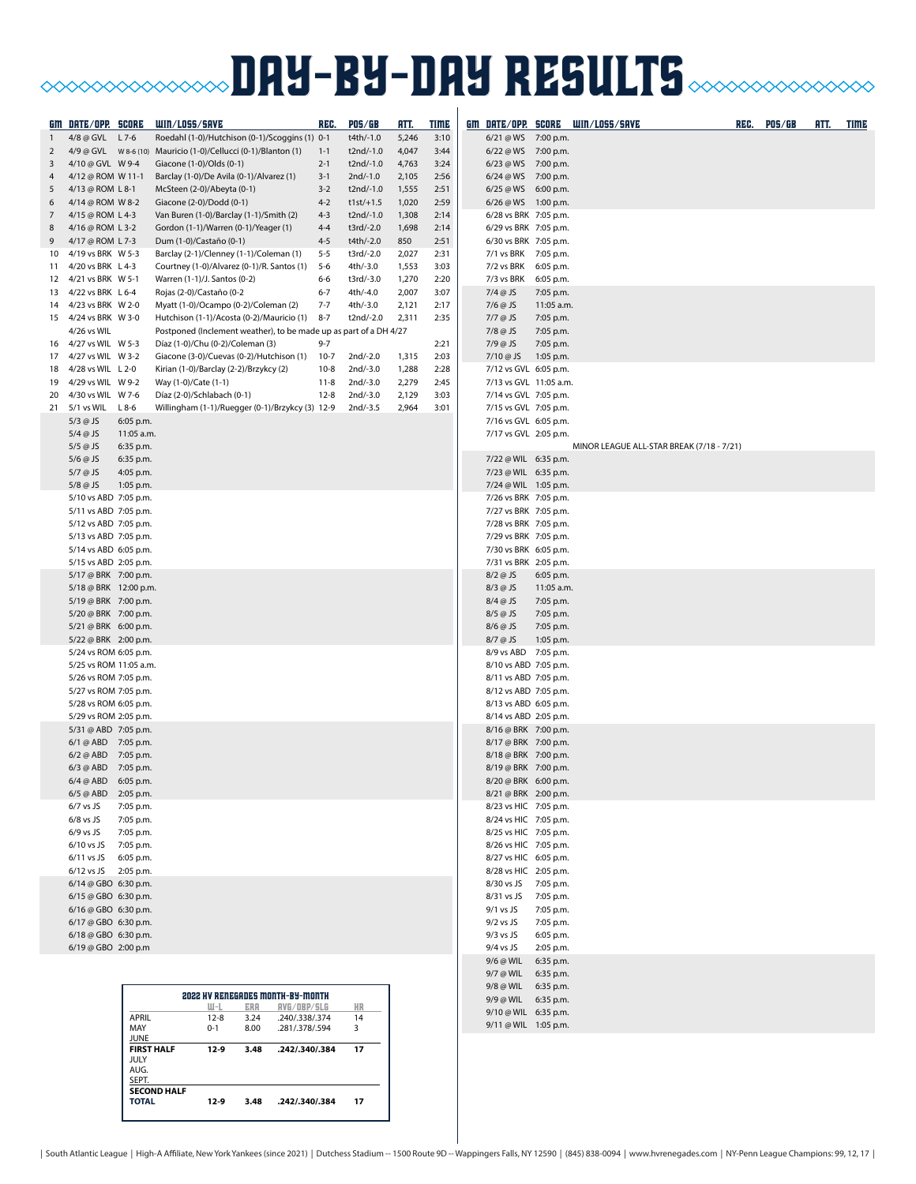# **BAY-BY-DAY RESULTS CONDITIONS IN THE SULTS**

|              | GM DATE/OPP. SCORE                             |                                  | WIN/LOSS/SAVE                                                                     | REG.               | POS/GB                 | RTT.           | <b>TIME</b>  |                                                 |                         | GM DATE/OPP. SCORE WIN/LOSS/SAVE          | REC. | <b>POS/GB</b> | <u>HTT.</u> | TIME |
|--------------|------------------------------------------------|----------------------------------|-----------------------------------------------------------------------------------|--------------------|------------------------|----------------|--------------|-------------------------------------------------|-------------------------|-------------------------------------------|------|---------------|-------------|------|
| $\mathbf{1}$ | 4/8 @ GVL L 7-6                                |                                  | Roedahl (1-0)/Hutchison (0-1)/Scoggins (1) 0-1                                    |                    | t4th/-1.0              | 5,246          | 3:10         | 6/21 @ WS 7:00 p.m.                             |                         |                                           |      |               |             |      |
| 2            |                                                |                                  |                                                                                   | $1 - 1$            | t2nd/-1.0              | 4,047          | 3:44         | 6/22 @ WS 7:00 p.m.                             |                         |                                           |      |               |             |      |
| 3<br>4       | 4/10 @ GVL W 9-4<br>4/12 @ ROM W 11-1          |                                  | Giacone (1-0)/Olds (0-1)                                                          | $2 - 1$<br>$3-1$   | t2nd/-1.0<br>2nd/-1.0  | 4,763<br>2,105 | 3:24<br>2:56 | 6/23 @ WS 7:00 p.m.<br>6/24 @ WS 7:00 p.m.      |                         |                                           |      |               |             |      |
| 5            | 4/13 @ ROM L 8-1                               |                                  | Barclay (1-0)/De Avila (0-1)/Alvarez (1)<br>McSteen (2-0)/Abeyta (0-1)            | $3 - 2$            | t2nd/-1.0              | 1,555          | 2:51         | 6/25 @ WS 6:00 p.m.                             |                         |                                           |      |               |             |      |
| 6            | 4/14 @ ROM W 8-2                               |                                  | Giacone (2-0)/Dodd (0-1)                                                          | $4 - 2$            | $t1st/+1.5$            | 1,020          | 2:59         | $6/26 @WS$ 1:00 p.m.                            |                         |                                           |      |               |             |      |
| 7            | 4/15 @ ROM L 4-3                               |                                  | Van Buren (1-0)/Barclay (1-1)/Smith (2)                                           | $4 - 3$            | t2nd/-1.0              | 1,308          | 2:14         | 6/28 vs BRK 7:05 p.m.                           |                         |                                           |      |               |             |      |
| 8            | 4/16 @ ROM L 3-2                               |                                  | Gordon (1-1)/Warren (0-1)/Yeager (1)                                              | $4 - 4$            | t3rd/-2.0              | 1,698          | 2:14         | 6/29 vs BRK 7:05 p.m.                           |                         |                                           |      |               |             |      |
| 9<br>10      | 4/17 @ ROM L 7-3<br>4/19 vs BRK W 5-3          |                                  | Dum (1-0)/Castaño (0-1)<br>Barclay (2-1)/Clenney (1-1)/Coleman (1)                | $4 - 5$<br>$5 - 5$ | t4th/-2.0<br>t3rd/-2.0 | 850<br>2,027   | 2:51<br>2:31 | 6/30 vs BRK 7:05 p.m.<br>7/1 vs BRK 7:05 p.m.   |                         |                                           |      |               |             |      |
|              | 11 4/20 vs BRK L 4-3                           |                                  | Courtney (1-0)/Alvarez (0-1)/R. Santos (1)                                        | $5 - 6$            | 4th/-3.0               | 1,553          | 3:03         | 7/2 vs BRK 6:05 p.m.                            |                         |                                           |      |               |             |      |
|              | 12 4/21 vs BRK W 5-1                           |                                  | Warren (1-1)/J. Santos (0-2)                                                      | 6-6                | t3rd/-3.0              | 1,270          | 2:20         | 7/3 vs BRK 6:05 p.m.                            |                         |                                           |      |               |             |      |
|              | 13 4/22 vs BRK L 6-4                           |                                  | Rojas (2-0)/Castaño (0-2                                                          | $6 - 7$            | 4th/-4.0               | 2,007          | 3:07         | $7/4$ @ JS                                      | 7:05 p.m.               |                                           |      |               |             |      |
|              | 14 4/23 vs BRK W 2-0<br>15 4/24 vs BRK W 3-0   |                                  | Myatt (1-0)/Ocampo (0-2)/Coleman (2)<br>Hutchison (1-1)/Acosta (0-2)/Mauricio (1) | $7 - 7$<br>$8 - 7$ | 4th/-3.0<br>t2nd/-2.0  | 2,121<br>2,311 | 2:17<br>2:35 | 7/6 @ JS<br>7/7 @ JS                            | 11:05 a.m.<br>7:05 p.m. |                                           |      |               |             |      |
|              | 4/26 vs WIL                                    |                                  | Postponed (Inclement weather), to be made up as part of a DH 4/27                 |                    |                        |                |              | $7/8$ @ JS                                      | 7:05 p.m.               |                                           |      |               |             |      |
| 16           | 4/27 vs WIL W 5-3                              |                                  | Díaz (1-0)/Chu (0-2)/Coleman (3)                                                  | $9 - 7$            |                        |                | 2:21         | $7/9$ @ JS                                      | 7:05 p.m.               |                                           |      |               |             |      |
|              | 17 4/27 vs WIL W 3-2                           |                                  | Giacone (3-0)/Cuevas (0-2)/Hutchison (1)                                          | $10-7$             | 2nd/-2.0               | 1,315          | 2:03         | 7/10 @ JS                                       | 1:05 p.m.               |                                           |      |               |             |      |
| 19           | 18 4/28 vs WIL L 2-0<br>4/29 vs WIL W 9-2      |                                  | Kirian (1-0)/Barclay (2-2)/Brzykcy (2)<br>Way (1-0)/Cate (1-1)                    | $10-8$<br>$11 - 8$ | 2nd/-3.0<br>2nd/-3.0   | 1,288<br>2,279 | 2:28<br>2:45 | 7/12 vs GVL 6:05 p.m.<br>7/13 vs GVL 11:05 a.m. |                         |                                           |      |               |             |      |
| 20           | 4/30 vs WIL W 7-6                              |                                  | Díaz (2-0)/Schlabach (0-1)                                                        | $12 - 8$           | 2nd/-3.0               | 2,129          | 3:03         | 7/14 vs GVL 7:05 p.m.                           |                         |                                           |      |               |             |      |
|              | 21 5/1 vs WIL                                  | $L8-6$                           | Willingham (1-1)/Ruegger (0-1)/Brzykcy (3) 12-9                                   |                    | 2nd/-3.5               | 2,964          | 3:01         | 7/15 vs GVL 7:05 p.m.                           |                         |                                           |      |               |             |      |
|              | $5/3$ @ JS                                     | 6:05 p.m.                        |                                                                                   |                    |                        |                |              | 7/16 vs GVL 6:05 p.m.                           |                         |                                           |      |               |             |      |
|              | $5/4$ @ JS                                     | 11:05 a.m.                       |                                                                                   |                    |                        |                |              | 7/17 vs GVL 2:05 p.m.                           |                         |                                           |      |               |             |      |
|              | $5/5$ @ JS<br>$5/6$ @ JS                       | 6:35 p.m.<br>6:35 p.m.           |                                                                                   |                    |                        |                |              | 7/22 @ WIL 6:35 p.m.                            |                         | MINOR LEAGUE ALL-STAR BREAK (7/18 - 7/21) |      |               |             |      |
|              | $5/7$ @ JS                                     | 4:05 p.m.                        |                                                                                   |                    |                        |                |              | 7/23 @ WIL 6:35 p.m.                            |                         |                                           |      |               |             |      |
|              | $5/8$ @ JS                                     | 1:05 p.m.                        |                                                                                   |                    |                        |                |              | 7/24 @ WIL 1:05 p.m.                            |                         |                                           |      |               |             |      |
|              | 5/10 vs ABD 7:05 p.m.                          |                                  |                                                                                   |                    |                        |                |              | 7/26 vs BRK 7:05 p.m.                           |                         |                                           |      |               |             |      |
|              | 5/11 vs ABD 7:05 p.m.<br>5/12 vs ABD 7:05 p.m. |                                  |                                                                                   |                    |                        |                |              | 7/27 vs BRK 7:05 p.m.<br>7/28 vs BRK 7:05 p.m.  |                         |                                           |      |               |             |      |
|              | 5/13 vs ABD 7:05 p.m.                          |                                  |                                                                                   |                    |                        |                |              | 7/29 vs BRK 7:05 p.m.                           |                         |                                           |      |               |             |      |
|              | 5/14 vs ABD 6:05 p.m.                          |                                  |                                                                                   |                    |                        |                |              | 7/30 vs BRK 6:05 p.m.                           |                         |                                           |      |               |             |      |
|              | 5/15 vs ABD 2:05 p.m.                          |                                  |                                                                                   |                    |                        |                |              | 7/31 vs BRK 2:05 p.m.                           |                         |                                           |      |               |             |      |
|              | 5/17 @ BRK 7:00 p.m.<br>5/18 @ BRK 12:00 p.m.  |                                  |                                                                                   |                    |                        |                |              | $8/2$ @ JS<br>8/3 @ JS                          | 6:05 p.m.<br>11:05 a.m. |                                           |      |               |             |      |
|              | 5/19 @ BRK 7:00 p.m.                           |                                  |                                                                                   |                    |                        |                |              | 8/4 @ JS                                        | 7:05 p.m.               |                                           |      |               |             |      |
|              | 5/20 @ BRK 7:00 p.m.                           |                                  |                                                                                   |                    |                        |                |              | $8/5$ @ JS                                      | 7:05 p.m.               |                                           |      |               |             |      |
|              | 5/21 @ BRK 6:00 p.m.                           |                                  |                                                                                   |                    |                        |                |              | $8/6$ @ JS                                      | 7:05 p.m.               |                                           |      |               |             |      |
|              | 5/22 @ BRK 2:00 p.m.<br>5/24 vs ROM 6:05 p.m.  |                                  |                                                                                   |                    |                        |                |              | 8/7 @ JS<br>8/9 vs ABD 7:05 p.m.                | 1:05 p.m.               |                                           |      |               |             |      |
|              | 5/25 vs ROM 11:05 a.m.                         |                                  |                                                                                   |                    |                        |                |              | 8/10 vs ABD 7:05 p.m.                           |                         |                                           |      |               |             |      |
|              | 5/26 vs ROM 7:05 p.m.                          |                                  |                                                                                   |                    |                        |                |              | 8/11 vs ABD 7:05 p.m.                           |                         |                                           |      |               |             |      |
|              | 5/27 vs ROM 7:05 p.m.                          |                                  |                                                                                   |                    |                        |                |              | 8/12 vs ABD 7:05 p.m.                           |                         |                                           |      |               |             |      |
|              | 5/28 vs ROM 6:05 p.m.<br>5/29 vs ROM 2:05 p.m. |                                  |                                                                                   |                    |                        |                |              | 8/13 vs ABD 6:05 p.m.<br>8/14 vs ABD 2:05 p.m.  |                         |                                           |      |               |             |      |
|              | 5/31 @ ABD 7:05 p.m.                           |                                  |                                                                                   |                    |                        |                |              | 8/16 @ BRK 7:00 p.m.                            |                         |                                           |      |               |             |      |
|              | 6/1 @ ABD 7:05 p.m.                            |                                  |                                                                                   |                    |                        |                |              | 8/17 @ BRK 7:00 p.m.                            |                         |                                           |      |               |             |      |
|              | 6/2 @ ABD 7:05 p.m.                            |                                  |                                                                                   |                    |                        |                |              | 8/18 @ BRK 7:00 p.m.                            |                         |                                           |      |               |             |      |
|              | 6/3 @ ABD 7:05 p.m.<br>6/4 @ ABD 6:05 p.m.     |                                  |                                                                                   |                    |                        |                |              | 8/19 @ BRK 7:00 p.m.<br>8/20 @ BRK 6:00 p.m.    |                         |                                           |      |               |             |      |
|              | 6/5 @ ABD 2:05 p.m.                            |                                  |                                                                                   |                    |                        |                |              | 8/21 @ BRK 2:00 p.m.                            |                         |                                           |      |               |             |      |
|              | $6/7$ vs JS                                    | 7:05 p.m.                        |                                                                                   |                    |                        |                |              | 8/23 vs HIC 7:05 p.m.                           |                         |                                           |      |               |             |      |
|              | $6/8$ vs JS                                    | 7:05 p.m.                        |                                                                                   |                    |                        |                |              | 8/24 vs HIC 7:05 p.m.                           |                         |                                           |      |               |             |      |
|              | $6/9$ vs JS<br>6/10 vs JS 7:05 p.m.            | 7:05 p.m.                        |                                                                                   |                    |                        |                |              | 8/25 vs HIC 7:05 p.m.<br>8/26 vs HIC 7:05 p.m.  |                         |                                           |      |               |             |      |
|              | 6/11 vs JS 6:05 p.m.                           |                                  |                                                                                   |                    |                        |                |              | 8/27 vs HIC 6:05 p.m.                           |                         |                                           |      |               |             |      |
|              | 6/12 vs JS 2:05 p.m.                           |                                  |                                                                                   |                    |                        |                |              | 8/28 vs HIC 2:05 p.m.                           |                         |                                           |      |               |             |      |
|              | 6/14 @ GBO 6:30 p.m.                           |                                  |                                                                                   |                    |                        |                |              | 8/30 vs JS 7:05 p.m.                            |                         |                                           |      |               |             |      |
|              | 6/15 @ GBO 6:30 p.m.<br>6/16 @ GBO 6:30 p.m.   |                                  |                                                                                   |                    |                        |                |              | 8/31 vs JS 7:05 p.m.<br>$9/1$ vs JS             | 7:05 p.m.               |                                           |      |               |             |      |
|              | 6/17 @ GBO 6:30 p.m.                           |                                  |                                                                                   |                    |                        |                |              | $9/2$ vs JS                                     | 7:05 p.m.               |                                           |      |               |             |      |
|              | 6/18 @ GBO 6:30 p.m.                           |                                  |                                                                                   |                    |                        |                |              | $9/3$ vs JS                                     | 6:05 p.m.               |                                           |      |               |             |      |
|              | 6/19 @ GBO 2:00 p.m                            |                                  |                                                                                   |                    |                        |                |              | $9/4$ vs JS<br>9/6 @ WIL 6:35 p.m.              | 2:05 p.m.               |                                           |      |               |             |      |
|              |                                                |                                  |                                                                                   |                    |                        |                |              | 9/7 @ WIL 6:35 p.m.                             |                         |                                           |      |               |             |      |
|              |                                                |                                  |                                                                                   |                    |                        |                |              | 9/8 @ WIL 6:35 p.m.                             |                         |                                           |      |               |             |      |
|              |                                                |                                  | <b>2022 HV RENEGADES MONTH-BY-MONTH</b><br>RVG/OBP/SLG<br>W-L<br>ERA              |                    | HR                     |                |              | 9/9 @ WIL 6:35 p.m.                             |                         |                                           |      |               |             |      |
|              |                                                | APRIL                            | $12 - 8$<br>3.24<br>.240/.338/.374                                                |                    | 14                     |                |              | 9/10 @ WIL 6:35 p.m.<br>9/11 @ WIL 1:05 p.m.    |                         |                                           |      |               |             |      |
|              |                                                | MAY<br><b>JUNE</b>               | $0 - 1$<br>8.00<br>.281/.378/.594                                                 |                    | 3                      |                |              |                                                 |                         |                                           |      |               |             |      |
|              |                                                | <b>FIRST HALF</b><br><b>JULY</b> | $12-9$<br>3.48<br>.242/.340/.384                                                  |                    | 17                     |                |              |                                                 |                         |                                           |      |               |             |      |
|              |                                                | AUG.                             |                                                                                   |                    |                        |                |              |                                                 |                         |                                           |      |               |             |      |
|              |                                                | SEPT.                            | <b>SECOND HALF</b>                                                                |                    |                        |                |              |                                                 |                         |                                           |      |               |             |      |

**TOTAL 12-9 3.48 .242/.340/.384 17**